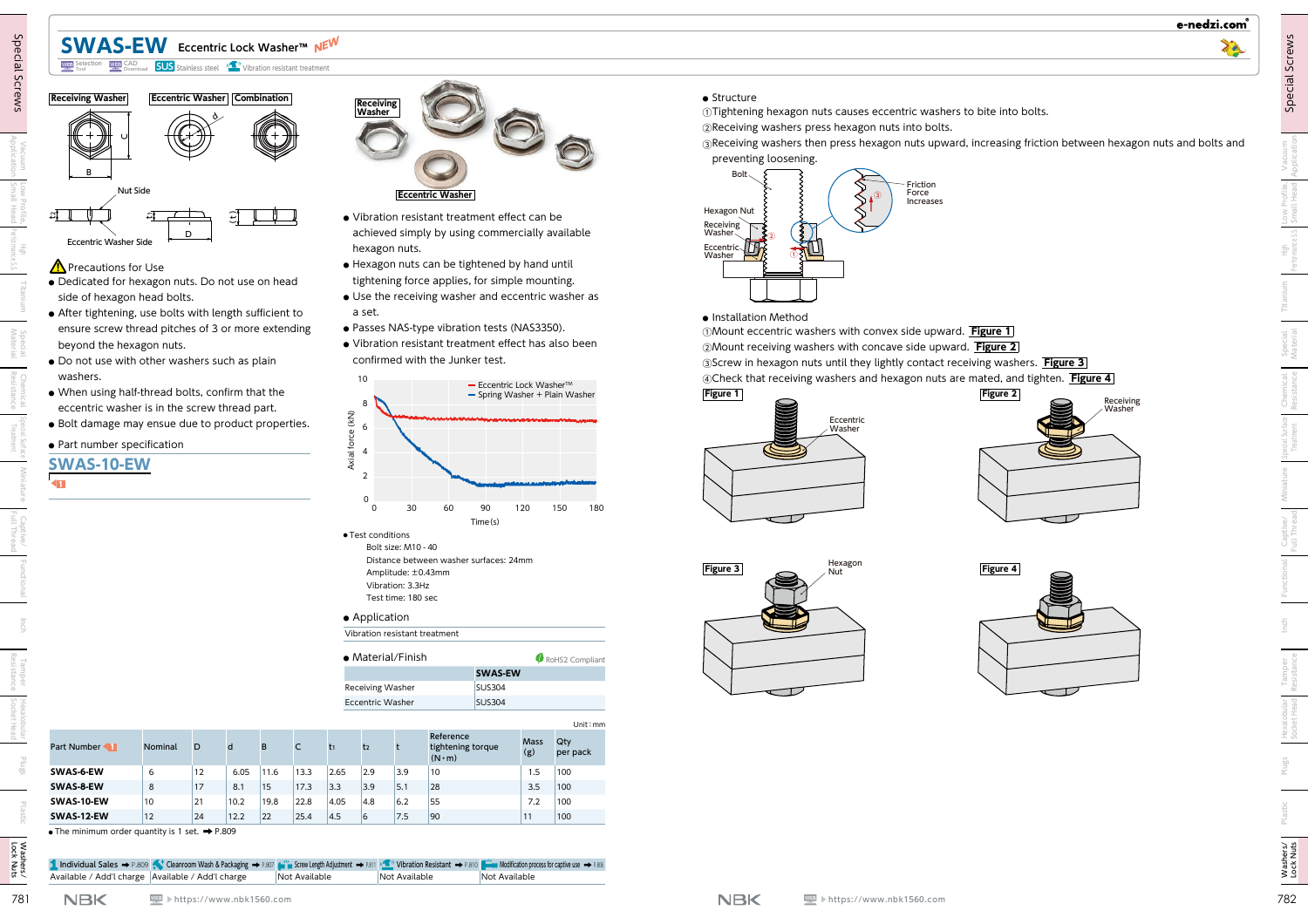# **SWAS-EW Eccentric Lock Washer™**



## **A** Precautions for Use

- **●** Dedicated for hexagon nuts. Do not use on head side of hexagon head bolts.
- **●** After tightening, use bolts with length sufficient to ensure screw thread pitches of 3 or more extending beyond the hexagon nuts.
- **●** Do not use with other washers such as plain washers.
- **●** When using half-thread bolts, confirm that the eccentric washer is in the screw thread part.
- **●** Bolt damage may ensue due to product properties.
- **●** Part number specification

**SWAS-10-EW**

◀**1**

- 
- 
- 
- 
- 



- **●** Vibration resistant treatment effect can be achieved simply by using commercially available hexagon nuts.
- **●** Hexagon nuts can be tightened by hand until tightening force applies, for simple mounting.
- **●** Use the receiving washer and eccentric washer as a set.
- **●** Passes NAS-type vibration tests (NAS3350).
- **●** Vibration resistant treatment effect has also been confirmed with the Junker test.



#### **●** Application

| Vibration resistant treatment |                |                 |
|-------------------------------|----------------|-----------------|
| $\bullet$ Material/Finish     |                | RoHS2 Compliant |
|                               | <b>SWAS-EW</b> |                 |
| <b>Receiving Washer</b>       | <b>SUS304</b>  |                 |
| Eccentric Washer              | <b>SUS304</b>  |                 |
|                               |                |                 |

| <b>WEB</b> CAD<br>Download<br><b>WEB</b> Selection                                                                                                                                                                                                                                                                                                                                                                                                                                                                                                                                                                        | <b>SWAS-EW</b> Eccentric Lock Washer™ NEW<br><b>SUS</b> Stainless steel (1) Vibration resistant treatment |                    |      |               |       |                                                                                                                                                                                                                   |                                                                                                            |                                                                                                                                                                                                                                                                                                                                                                                                                                                                                            |                                                                   |                 |                                                                                                                                                                                                                                                                                                                                                                                                                                                                                                                                                                                                                                                                                                                                                                                                                                                                     |
|---------------------------------------------------------------------------------------------------------------------------------------------------------------------------------------------------------------------------------------------------------------------------------------------------------------------------------------------------------------------------------------------------------------------------------------------------------------------------------------------------------------------------------------------------------------------------------------------------------------------------|-----------------------------------------------------------------------------------------------------------|--------------------|------|---------------|-------|-------------------------------------------------------------------------------------------------------------------------------------------------------------------------------------------------------------------|------------------------------------------------------------------------------------------------------------|--------------------------------------------------------------------------------------------------------------------------------------------------------------------------------------------------------------------------------------------------------------------------------------------------------------------------------------------------------------------------------------------------------------------------------------------------------------------------------------------|-------------------------------------------------------------------|-----------------|---------------------------------------------------------------------------------------------------------------------------------------------------------------------------------------------------------------------------------------------------------------------------------------------------------------------------------------------------------------------------------------------------------------------------------------------------------------------------------------------------------------------------------------------------------------------------------------------------------------------------------------------------------------------------------------------------------------------------------------------------------------------------------------------------------------------------------------------------------------------|
| <b>Receiving Washer</b><br>Nut Side<br>$\Xi$<br><b>Eccentric Washer Side</b><br>$\Lambda$ Precautions for Use<br>· Dedicated for hexagon nuts. Do not use on head<br>side of hexagon head bolts.<br>• After tightening, use bolts with length sufficient to<br>ensure screw thread pitches of 3 or more extending<br>beyond the hexagon nuts.<br>. Do not use with other washers such as plain<br>washers.<br>. When using half-thread bolts, confirm that the<br>eccentric washer is in the screw thread part.<br>• Bolt damage may ensue due to product properties.<br>• Part number specification<br><b>SWAS-10-EW</b> | <b>Eccentric Washer Combination</b>                                                                       |                    |      |               |       | <b>Receiving</b><br>Washer<br>a set.<br>10<br>8<br>$\widetilde{\left(\mathsf{K}\mathsf{N}\right)}$<br>6<br>Axial force<br>$\overline{4}$<br>$\overline{2}$<br>0<br>$\Omega$<br>• Test conditions<br>• Application | hexagon nuts.<br>30<br>Bolt size: M10 - 40<br>Amplitude: ±0.43mm<br>Vibration: 3.3Hz<br>Test time: 180 sec | <b>Eccentric Washer</b><br>· Vibration resistant treatment effect can be<br>achieved simply by using commercially available<br>· Hexagon nuts can be tightened by hand until<br>tightening force applies, for simple mounting.<br>• Use the receiving washer and eccentric washer as<br>· Passes NAS-type vibration tests (NAS3350).<br>• Vibration resistant treatment effect has also been<br>confirmed with the Junker test.<br>60<br>Time(s)<br>Distance between washer surfaces: 24mm | - Eccentric Lock Washer™<br>- Spring Washer + Plain Washer<br>120 | 150<br>180      | $\bullet$ Structure<br>10 Tightening hexagon nuts causes eccentric washers to bite into bolts.<br>2Receiving washers press hexagon nuts into bolts.<br><b>3</b> Receiving washers then press hexagon nuts upward, increasing friction between hexagon nuts and bolts and<br>preventing loosening.<br><b>Bolt</b><br>Friction<br>Force<br>Increases<br><b>Hexagon Nut</b><br>Receiving<br>Washer<br>Eccentric<br>· Installation Method<br>(1) Mount eccentric washers with convex side upward. Figure 1<br>2 Mount receiving washers with concave side upward. Figure 2<br>@Screw in hexagon nuts until they lightly contact receiving washers. Figure 3<br>4 @Check that receiving washers and hexagon nuts are mated, and tighten. Figure 4<br>Figure 1<br><b>Figure 2</b><br>Receiving<br>Washer<br>Eccentric<br>Washer<br>Hexagor<br>Figure 3<br><b>Figure 4</b> |
|                                                                                                                                                                                                                                                                                                                                                                                                                                                                                                                                                                                                                           |                                                                                                           |                    |      |               |       |                                                                                                                                                                                                                   | Vibration resistant treatment<br>• Material/Finish                                                         |                                                                                                                                                                                                                                                                                                                                                                                                                                                                                            |                                                                   | RoHS2 Compliant |                                                                                                                                                                                                                                                                                                                                                                                                                                                                                                                                                                                                                                                                                                                                                                                                                                                                     |
|                                                                                                                                                                                                                                                                                                                                                                                                                                                                                                                                                                                                                           |                                                                                                           |                    |      |               |       | <b>Receiving Washer</b>                                                                                                                                                                                           |                                                                                                            | <b>SUS304</b>                                                                                                                                                                                                                                                                                                                                                                                                                                                                              | <b>SWAS-EW</b>                                                    |                 |                                                                                                                                                                                                                                                                                                                                                                                                                                                                                                                                                                                                                                                                                                                                                                                                                                                                     |
|                                                                                                                                                                                                                                                                                                                                                                                                                                                                                                                                                                                                                           |                                                                                                           |                    |      |               |       | <b>Eccentric Washer</b>                                                                                                                                                                                           |                                                                                                            | <b>SUS304</b>                                                                                                                                                                                                                                                                                                                                                                                                                                                                              |                                                                   |                 |                                                                                                                                                                                                                                                                                                                                                                                                                                                                                                                                                                                                                                                                                                                                                                                                                                                                     |
| Part Number<br>Nominal                                                                                                                                                                                                                                                                                                                                                                                                                                                                                                                                                                                                    | D                                                                                                         |                    |      | C             | $t_1$ | t <sub>2</sub>                                                                                                                                                                                                    |                                                                                                            | Reference<br>tightening torque                                                                                                                                                                                                                                                                                                                                                                                                                                                             | Mass                                                              | Unit: mm<br>Qty |                                                                                                                                                                                                                                                                                                                                                                                                                                                                                                                                                                                                                                                                                                                                                                                                                                                                     |
| SWAS-6-EW<br>6                                                                                                                                                                                                                                                                                                                                                                                                                                                                                                                                                                                                            | $ 12\rangle$                                                                                              | 6.05               | 11.6 | 13.3          | 2.65  | 2.9                                                                                                                                                                                                               | 3.9                                                                                                        | $(N \cdot m)$<br>10                                                                                                                                                                                                                                                                                                                                                                                                                                                                        | (g)<br>1.5                                                        | per pack<br>100 |                                                                                                                                                                                                                                                                                                                                                                                                                                                                                                                                                                                                                                                                                                                                                                                                                                                                     |
|                                                                                                                                                                                                                                                                                                                                                                                                                                                                                                                                                                                                                           | 17                                                                                                        | 8.1                | 15   | 17.3          | 3.3   | 3.9                                                                                                                                                                                                               | $\vert$ 5.1                                                                                                | 28                                                                                                                                                                                                                                                                                                                                                                                                                                                                                         | 3.5                                                               | 100             |                                                                                                                                                                                                                                                                                                                                                                                                                                                                                                                                                                                                                                                                                                                                                                                                                                                                     |
| 8                                                                                                                                                                                                                                                                                                                                                                                                                                                                                                                                                                                                                         | 21                                                                                                        | 10.2               | 19.8 | 22.8          | 4.05  | 4.8                                                                                                                                                                                                               | 6.2                                                                                                        | 55                                                                                                                                                                                                                                                                                                                                                                                                                                                                                         | 7.2                                                               | 100             |                                                                                                                                                                                                                                                                                                                                                                                                                                                                                                                                                                                                                                                                                                                                                                                                                                                                     |
| 10 <sup>1</sup>                                                                                                                                                                                                                                                                                                                                                                                                                                                                                                                                                                                                           |                                                                                                           | $\vert 12.2 \vert$ | 22   | 25.4          | 4.5   | $ 6\rangle$                                                                                                                                                                                                       | 7.5                                                                                                        | 90                                                                                                                                                                                                                                                                                                                                                                                                                                                                                         | 11                                                                | 100             |                                                                                                                                                                                                                                                                                                                                                                                                                                                                                                                                                                                                                                                                                                                                                                                                                                                                     |
| 12                                                                                                                                                                                                                                                                                                                                                                                                                                                                                                                                                                                                                        | 24                                                                                                        |                    |      |               |       |                                                                                                                                                                                                                   |                                                                                                            |                                                                                                                                                                                                                                                                                                                                                                                                                                                                                            |                                                                   |                 |                                                                                                                                                                                                                                                                                                                                                                                                                                                                                                                                                                                                                                                                                                                                                                                                                                                                     |
|                                                                                                                                                                                                                                                                                                                                                                                                                                                                                                                                                                                                                           |                                                                                                           |                    |      |               |       |                                                                                                                                                                                                                   |                                                                                                            |                                                                                                                                                                                                                                                                                                                                                                                                                                                                                            |                                                                   |                 |                                                                                                                                                                                                                                                                                                                                                                                                                                                                                                                                                                                                                                                                                                                                                                                                                                                                     |
| SWAS-8-EW<br>SWAS-10-EW<br>SWAS-12-EW<br>$\bullet$ The minimum order quantity is 1 set. $\bullet$ P.809                                                                                                                                                                                                                                                                                                                                                                                                                                                                                                                   |                                                                                                           |                    |      |               |       |                                                                                                                                                                                                                   |                                                                                                            |                                                                                                                                                                                                                                                                                                                                                                                                                                                                                            |                                                                   |                 |                                                                                                                                                                                                                                                                                                                                                                                                                                                                                                                                                                                                                                                                                                                                                                                                                                                                     |
| 1. Individual Sales → P.809 < Cleanroom Wash & Packaging → P.807 (with Sarew Length Adjustment → P.811 < Capar Contract On Resistant → P.810 (2011) Modification process for captive use → P.806<br>Available / Add'l charge Available / Add'l charge                                                                                                                                                                                                                                                                                                                                                                     |                                                                                                           |                    |      | Not Available |       |                                                                                                                                                                                                                   | Not Available                                                                                              |                                                                                                                                                                                                                                                                                                                                                                                                                                                                                            | Not Available                                                     |                 |                                                                                                                                                                                                                                                                                                                                                                                                                                                                                                                                                                                                                                                                                                                                                                                                                                                                     |

**●** The minimum order quantity is 1 set. ➡ P.809

### **●** Structure









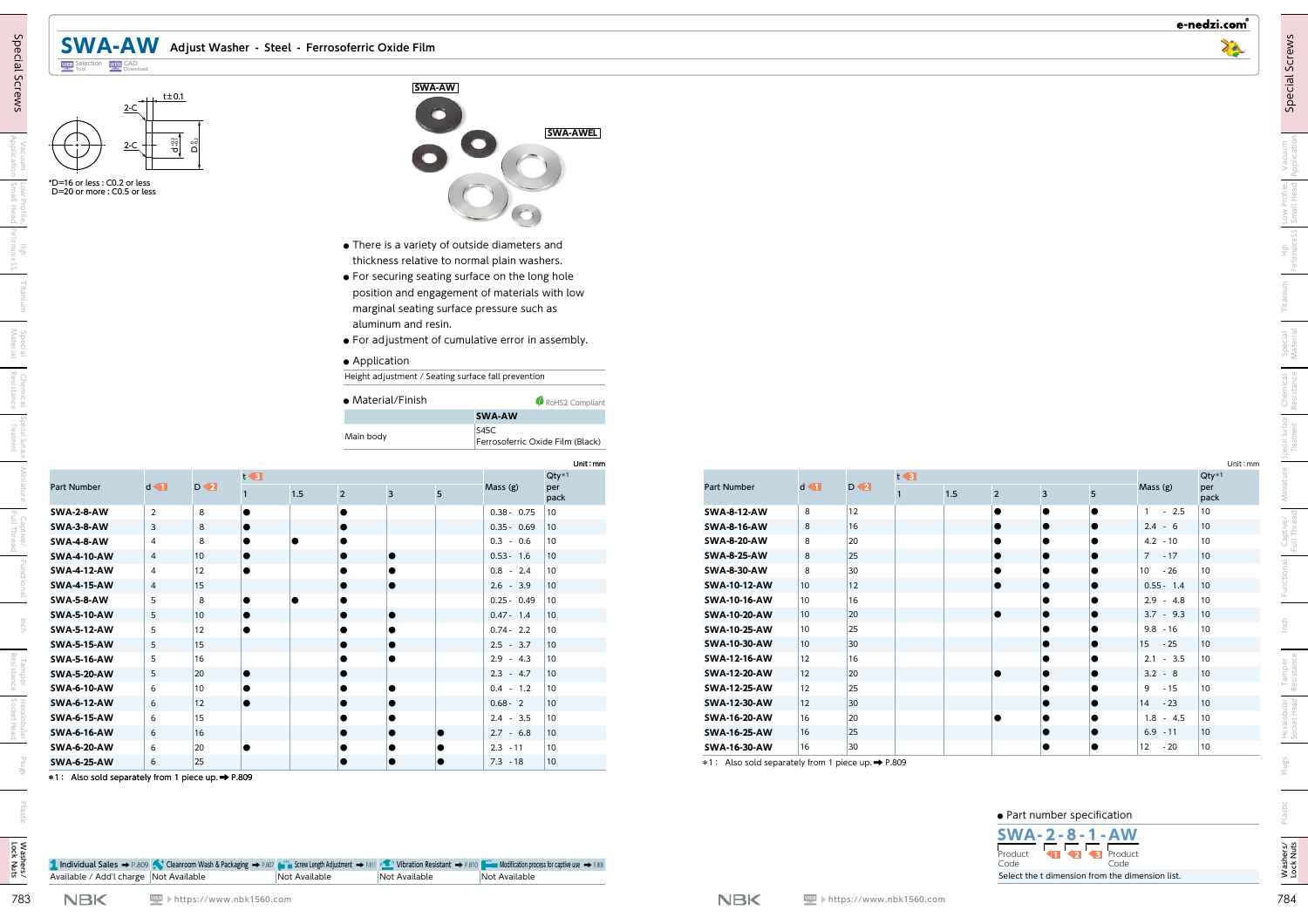| $2-C$ | $t = 0.1$       |
|-------|-----------------|
| $2-C$ | $2^{0.2}_{0.2}$ |





|             | <b>SWA-2-8-AW</b>  | $\overline{2}$ | 8  |   |  |
|-------------|--------------------|----------------|----|---|--|
| Captive/    | <b>SWA-3-8-AW</b>  | 3              | 8  |   |  |
|             | <b>SWA-4-8-AW</b>  | $\overline{4}$ | 8  |   |  |
|             | <b>SWA-4-10-AW</b> | 4              | 10 | ٠ |  |
| Functional  | <b>SWA-4-12-AW</b> | 4              | 12 |   |  |
|             | <b>SWA-4-15-AW</b> | 4              | 15 |   |  |
|             | <b>SWA-5-8-AW</b>  | 5              | 8  |   |  |
|             | <b>SWA-5-10-AW</b> | 5              | 10 |   |  |
| Inch        | <b>SWA-5-12-AW</b> | 5              | 12 |   |  |
|             | <b>SWA-5-15-AW</b> | 5              | 15 |   |  |
|             | <b>SWA-5-16-AW</b> | 5              | 16 |   |  |
| Tamper      | <b>SWA-5-20-AW</b> | 5              | 20 |   |  |
|             | <b>SWA-6-10-AW</b> | 6              | 10 |   |  |
|             | <b>SWA-6-12-AW</b> | 6              | 12 | э |  |
| Hexalobular | <b>SWA-6-15-AW</b> | 6              | 15 |   |  |
|             | <b>SWA-6-16-AW</b> | 6              | 16 |   |  |

**SWA-AWEL** 

- **●** For securing seating surface on the long hole position and engagement of materials with low marginal seating surface pressure such as aluminum and resin.
- **●** For adjustment of cumulative error in assembly.
- **●** Application

| • Material/Finish | RoHS2 Compliant                          |
|-------------------|------------------------------------------|
|                   | <b>SWA-AW</b>                            |
| Main body         | S45C<br>Ferrosoferric Oxide Film (Black) |

|                          |                     |               |                     | • There is a variety of outside diameters and<br>thickness relative to normal plain washers.                                                    |                                                 |                                                                          |                                                                                                                                                                    |                                   |                          |    |                     |                |    |           |                          |                              |
|--------------------------|---------------------|---------------|---------------------|-------------------------------------------------------------------------------------------------------------------------------------------------|-------------------------------------------------|--------------------------------------------------------------------------|--------------------------------------------------------------------------------------------------------------------------------------------------------------------|-----------------------------------|--------------------------|----|---------------------|----------------|----|-----------|--------------------------|------------------------------|
|                          |                     | • Application | aluminum and resin. | position and engagement of materials with low<br>marginal seating surface pressure such as<br>• For adjustment of cumulative error in assembly. | • For securing seating surface on the long hole |                                                                          |                                                                                                                                                                    |                                   |                          |    |                     |                |    |           |                          |                              |
|                          |                     | Main body     |                     |                                                                                                                                                 |                                                 | Unit: mm                                                                 |                                                                                                                                                                    |                                   |                          |    |                     |                |    |           |                          | Unit: mm<br>$Qty*1$          |
| $D \blacktriangleleft 2$ | $1.5$               |               |                     |                                                                                                                                                 |                                                 | per                                                                      | Part Number                                                                                                                                                        | $d \blacktriangleleft$            | $D \blacktriangleleft 2$ |    | $1.5$               | $\overline{2}$ | 3  | 5         | Mass (g)                 | per<br>pack                  |
| 8                        |                     |               |                     |                                                                                                                                                 |                                                 |                                                                          | <b>SWA-8-12-AW</b>                                                                                                                                                 | 8                                 | 12                       |    |                     |                |    |           | $1 - 2.5$                | 10                           |
| 8<br>lo                  |                     |               |                     |                                                                                                                                                 |                                                 | $ 10\rangle$                                                             | <b>SWA-8-16-AW</b>                                                                                                                                                 | 8                                 | 16                       |    |                     |                |    |           | $2.4 - 6$                | $ 10\rangle$                 |
| 8                        |                     |               |                     |                                                                                                                                                 |                                                 | $ 10\rangle$                                                             | <b>SWA-8-20-AW</b>                                                                                                                                                 | 8                                 | 20                       |    |                     |                |    |           | $4.2 - 10$               | $ 10\rangle$                 |
| 10 <sup>1</sup>          |                     |               |                     |                                                                                                                                                 |                                                 | $ 10\rangle$                                                             |                                                                                                                                                                    | 8                                 |                          |    |                     |                |    |           | $7 - 17$                 | $ 10\rangle$                 |
| 12                       |                     |               |                     |                                                                                                                                                 |                                                 | $ 10\rangle$                                                             |                                                                                                                                                                    |                                   |                          |    |                     |                |    |           |                          |                              |
| 15                       |                     |               |                     |                                                                                                                                                 |                                                 |                                                                          |                                                                                                                                                                    |                                   |                          |    |                     |                |    |           | $10 - 26$                | 10                           |
|                          |                     |               |                     |                                                                                                                                                 | $2.6 - 3.9$                                     | 10                                                                       | <b>SWA-10-12-AW</b>                                                                                                                                                | 10 <sub>1</sub>                   | 12                       |    |                     |                |    |           | $0.55 - 1.4$             | $ 10\rangle$                 |
| 8                        |                     |               |                     |                                                                                                                                                 | $0.25 - 0.49$                                   | $ 10\rangle$                                                             | SWA-10-16-AW                                                                                                                                                       | 10 <sup>1</sup>                   | 16                       |    |                     |                |    |           | $2.9 - 4.8$              | $ 10\rangle$                 |
| 10<br>lo                 |                     |               |                     |                                                                                                                                                 | $0.47 - 1.4$                                    | 10                                                                       | SWA-10-20-AW                                                                                                                                                       | $ 10\rangle$                      | 20                       |    |                     |                |    |           | $3.7 - 9.3$              | $ 10\rangle$                 |
| 12                       |                     |               |                     |                                                                                                                                                 | $0.74 - 2.2$                                    | $ 10\rangle$                                                             | SWA-10-25-AW                                                                                                                                                       | $ 10\rangle$                      | 25                       |    |                     |                |    |           | $9.8 - 16$               | 10                           |
| 15                       |                     |               |                     |                                                                                                                                                 | $2.5 - 3.7$                                     | $ 10\rangle$<br>$ 10\rangle$                                             | SWA-10-30-AW                                                                                                                                                       | $ 10\rangle$                      | 30 <sup>°</sup>          |    |                     |                |    |           | $15 - 25$                | $ 10\rangle$                 |
| 16<br>IO                 |                     |               |                     |                                                                                                                                                 | $2.9 - 4.3$<br>$2.3 - 4.7$                      | $ 10\rangle$                                                             | SWA-12-16-AW<br>SWA-12-20-AW                                                                                                                                       | 12 <br>$ 12\rangle$               | 16<br>$ 20\rangle$       |    |                     |                |    |           | $2.1 - 3.5$<br>$3.2 - 8$ | $ 10\rangle$<br>$ 10\rangle$ |
| 20<br>10                 |                     |               |                     |                                                                                                                                                 | $0.4 - 1.2$                                     | $ 10\rangle$                                                             | SWA-12-25-AW                                                                                                                                                       | 12                                | 25                       |    |                     |                |    |           | $9 - 15$                 | 10                           |
| 12<br>lo                 |                     | le            |                     |                                                                                                                                                 | $0.68 - 2$                                      | $ 10\rangle$                                                             | <b>SWA-12-30-AW</b>                                                                                                                                                | 12                                | $ 30\rangle$             |    |                     |                |    |           | $14 - 23$                | $ 10\rangle$                 |
| 15                       |                     |               |                     |                                                                                                                                                 | $2.4 - 3.5$                                     | 10                                                                       | SWA-16-20-AW                                                                                                                                                       | 16                                | 20                       |    |                     |                |    |           | $1.8 - 4.5$              | 10                           |
| 16                       |                     |               |                     |                                                                                                                                                 | $2.7 - 6.8$                                     | $ 10\rangle$                                                             | <b>SWA-16-25-AW</b>                                                                                                                                                | 16                                | 25                       |    |                     |                |    |           | $6.9 - 11$               | $ 10\rangle$                 |
| 20                       |                     |               |                     |                                                                                                                                                 | $2.3 - 11$<br>$7.3 - 18$                        | $ 10\rangle$<br>$ 10\rangle$                                             | SWA-16-30-AW                                                                                                                                                       | 16                                | 30 <sup>°</sup>          |    |                     |                | lo | $\bullet$ | $12 - 20$                | $ 10\rangle$                 |
|                          | $t \triangleleft 3$ |               | $\overline{2}$      | • Material/Finish<br>$\overline{\mathbf{3}}$                                                                                                    | 5 <sup>5</sup>                                  | SWA-AW<br>S45C<br>Mass (g)<br>$0.3 - 0.6$<br>$0.53 - 1.6$<br>$0.8 - 2.4$ | Height adjustment / Seating surface fall prevention<br>RoHS2 Compliant<br>Ferrosoferric Oxide Film (Black)<br>$Qty*1$<br>pack<br>$0.38 - 0.75$ 10<br>$0.35 - 0.69$ | <b>SWA-8-25-AW</b><br>SWA-8-30-AW |                          | 25 | $t \triangleleft 3$ | 30             | 8  |           |                          |                              |



|         | • Part number specification |                  |
|---------|-----------------------------|------------------|
|         | SWA-2-8-1-AW                |                  |
| Product | $\blacksquare$              | <b>B</b> Product |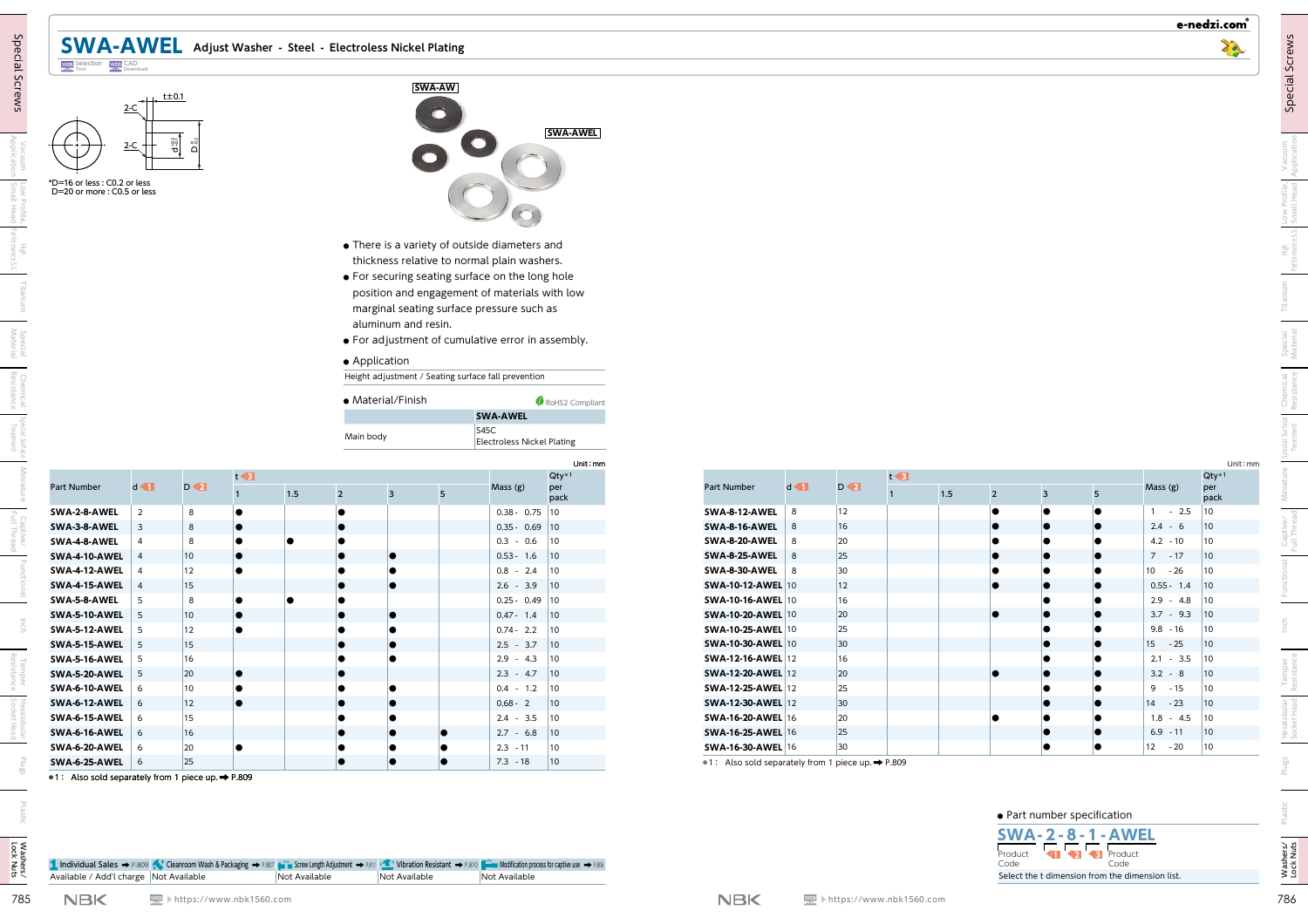| $2-C$ | $t\pm0.1$           |
|-------|---------------------|
| $2-C$ | $D_{\frac{0.2}{2}}$ |





| -<br>٦<br>ı. |  |
|--------------|--|
| ٠            |  |

| <b>SWA-6-1</b> |
|----------------|
| SWA-6-2        |
| SWA-6-2        |
| *1: Also       |
|                |





- **●** There is a variety of outside diameters and thickness relative to normal plain washers.
- **●** For securing seating surface on the long hole position and engagement of materials with low marginal seating surface pressure such as aluminum and resin.
- **●** For adjustment of cumulative error in assembly.
- **●** Application

| • Material/Finish | RoHS2 Compliant                           |
|-------------------|-------------------------------------------|
|                   | <b>SWA-AWEL</b>                           |
| Main body         | S45C<br><b>Electroless Nickel Plating</b> |

| $\frac{1}{2}$            |                                                  |                | <b>SWA-AW</b>                                   |                                   |                                                    |                                                                                                                                                                                                                                                                                                                                                                                                                                                                                                                                                                    |                                                                                                                                                                                                                     |                                             |                     |                |                                         |                                                                                    |
|--------------------------|--------------------------------------------------|----------------|-------------------------------------------------|-----------------------------------|----------------------------------------------------|--------------------------------------------------------------------------------------------------------------------------------------------------------------------------------------------------------------------------------------------------------------------------------------------------------------------------------------------------------------------------------------------------------------------------------------------------------------------------------------------------------------------------------------------------------------------|---------------------------------------------------------------------------------------------------------------------------------------------------------------------------------------------------------------------|---------------------------------------------|---------------------|----------------|-----------------------------------------|------------------------------------------------------------------------------------|
|                          |                                                  |                |                                                 |                                   |                                                    |                                                                                                                                                                                                                                                                                                                                                                                                                                                                                                                                                                    |                                                                                                                                                                                                                     |                                             |                     |                |                                         |                                                                                    |
| ്റ്                      |                                                  |                |                                                 |                                   | <b>SWA-AWEL</b>                                    |                                                                                                                                                                                                                                                                                                                                                                                                                                                                                                                                                                    |                                                                                                                                                                                                                     |                                             |                     |                |                                         |                                                                                    |
|                          |                                                  |                |                                                 |                                   |                                                    |                                                                                                                                                                                                                                                                                                                                                                                                                                                                                                                                                                    |                                                                                                                                                                                                                     |                                             |                     |                |                                         |                                                                                    |
|                          |                                                  |                |                                                 |                                   |                                                    |                                                                                                                                                                                                                                                                                                                                                                                                                                                                                                                                                                    |                                                                                                                                                                                                                     |                                             |                     |                |                                         |                                                                                    |
|                          |                                                  |                |                                                 |                                   |                                                    |                                                                                                                                                                                                                                                                                                                                                                                                                                                                                                                                                                    |                                                                                                                                                                                                                     |                                             |                     |                |                                         |                                                                                    |
|                          |                                                  |                |                                                 |                                   |                                                    |                                                                                                                                                                                                                                                                                                                                                                                                                                                                                                                                                                    |                                                                                                                                                                                                                     |                                             |                     |                |                                         |                                                                                    |
|                          |                                                  |                |                                                 |                                   |                                                    |                                                                                                                                                                                                                                                                                                                                                                                                                                                                                                                                                                    |                                                                                                                                                                                                                     |                                             |                     |                |                                         |                                                                                    |
|                          |                                                  |                |                                                 |                                   |                                                    |                                                                                                                                                                                                                                                                                                                                                                                                                                                                                                                                                                    |                                                                                                                                                                                                                     |                                             |                     |                |                                         |                                                                                    |
|                          |                                                  |                |                                                 |                                   |                                                    |                                                                                                                                                                                                                                                                                                                                                                                                                                                                                                                                                                    |                                                                                                                                                                                                                     |                                             |                     |                |                                         |                                                                                    |
|                          |                                                  |                |                                                 |                                   |                                                    |                                                                                                                                                                                                                                                                                                                                                                                                                                                                                                                                                                    |                                                                                                                                                                                                                     |                                             |                     |                |                                         |                                                                                    |
|                          |                                                  |                |                                                 |                                   |                                                    |                                                                                                                                                                                                                                                                                                                                                                                                                                                                                                                                                                    |                                                                                                                                                                                                                     |                                             |                     |                |                                         |                                                                                    |
|                          |                                                  |                |                                                 |                                   |                                                    |                                                                                                                                                                                                                                                                                                                                                                                                                                                                                                                                                                    |                                                                                                                                                                                                                     |                                             |                     |                |                                         |                                                                                    |
|                          |                                                  |                |                                                 |                                   |                                                    |                                                                                                                                                                                                                                                                                                                                                                                                                                                                                                                                                                    |                                                                                                                                                                                                                     |                                             |                     |                |                                         |                                                                                    |
|                          |                                                  |                |                                                 |                                   |                                                    |                                                                                                                                                                                                                                                                                                                                                                                                                                                                                                                                                                    |                                                                                                                                                                                                                     |                                             |                     |                |                                         |                                                                                    |
|                          |                                                  |                |                                                 |                                   |                                                    |                                                                                                                                                                                                                                                                                                                                                                                                                                                                                                                                                                    |                                                                                                                                                                                                                     |                                             |                     |                |                                         |                                                                                    |
|                          |                                                  |                |                                                 |                                   |                                                    |                                                                                                                                                                                                                                                                                                                                                                                                                                                                                                                                                                    |                                                                                                                                                                                                                     |                                             |                     |                |                                         |                                                                                    |
|                          |                                                  |                |                                                 |                                   |                                                    |                                                                                                                                                                                                                                                                                                                                                                                                                                                                                                                                                                    |                                                                                                                                                                                                                     |                                             |                     |                |                                         |                                                                                    |
|                          |                                                  |                |                                                 |                                   |                                                    |                                                                                                                                                                                                                                                                                                                                                                                                                                                                                                                                                                    |                                                                                                                                                                                                                     |                                             |                     |                |                                         |                                                                                    |
|                          |                                                  |                |                                                 |                                   |                                                    |                                                                                                                                                                                                                                                                                                                                                                                                                                                                                                                                                                    |                                                                                                                                                                                                                     |                                             |                     |                |                                         |                                                                                    |
|                          |                                                  |                |                                                 |                                   |                                                    |                                                                                                                                                                                                                                                                                                                                                                                                                                                                                                                                                                    |                                                                                                                                                                                                                     |                                             |                     |                |                                         | Unit: mm<br>$Qty*1$                                                                |
| $D \blacktriangleleft a$ | $1.5$                                            | $\overline{3}$ | 5                                               |                                   | per<br>pack                                        | Part Number                                                                                                                                                                                                                                                                                                                                                                                                                                                                                                                                                        |                                                                                                                                                                                                                     |                                             | $1.5$               | 5              | Mass (g)                                | per<br>pack                                                                        |
| 8                        |                                                  |                |                                                 |                                   |                                                    |                                                                                                                                                                                                                                                                                                                                                                                                                                                                                                                                                                    | 12                                                                                                                                                                                                                  |                                             |                     |                |                                         | 10                                                                                 |
|                          |                                                  |                |                                                 |                                   |                                                    |                                                                                                                                                                                                                                                                                                                                                                                                                                                                                                                                                                    |                                                                                                                                                                                                                     |                                             |                     |                |                                         | 10<br> 10                                                                          |
|                          |                                                  |                |                                                 |                                   |                                                    |                                                                                                                                                                                                                                                                                                                                                                                                                                                                                                                                                                    |                                                                                                                                                                                                                     |                                             |                     |                |                                         | 10                                                                                 |
| 12                       |                                                  |                |                                                 |                                   |                                                    |                                                                                                                                                                                                                                                                                                                                                                                                                                                                                                                                                                    | $ 30\rangle$                                                                                                                                                                                                        |                                             |                     |                | $-26$<br>10                             | 10                                                                                 |
| 15                       |                                                  |                |                                                 |                                   |                                                    |                                                                                                                                                                                                                                                                                                                                                                                                                                                                                                                                                                    | 12                                                                                                                                                                                                                  |                                             |                     |                |                                         | 10                                                                                 |
| 8                        |                                                  |                |                                                 |                                   |                                                    |                                                                                                                                                                                                                                                                                                                                                                                                                                                                                                                                                                    | 16                                                                                                                                                                                                                  |                                             |                     |                |                                         |                                                                                    |
| $ 10\rangle$             |                                                  |                |                                                 | $0.47 - 1.4$ 10                   |                                                    | <b>SWA-10-20-AWEL 10</b>                                                                                                                                                                                                                                                                                                                                                                                                                                                                                                                                           | 20                                                                                                                                                                                                                  |                                             |                     |                | $3.7 - 9.3$ 10                          |                                                                                    |
| 12                       |                                                  |                |                                                 | $0.74 - 2.2$ 10<br>$2.5 - 3.7$ 10 |                                                    | <b>SWA-10-25-AWEL 10</b><br><b>SWA-10-30-AWEL 10</b>                                                                                                                                                                                                                                                                                                                                                                                                                                                                                                               | 25<br>30                                                                                                                                                                                                            |                                             |                     |                | $9.8 - 16$<br>15 <sup>15</sup><br>$-25$ | 10<br> 10                                                                          |
|                          |                                                  |                |                                                 |                                   | 10                                                 | <b>SWA-12-16-AWEL 12</b>                                                                                                                                                                                                                                                                                                                                                                                                                                                                                                                                           | 16                                                                                                                                                                                                                  |                                             |                     |                | $2.1 - 3.5$ 10                          |                                                                                    |
| 15                       |                                                  |                |                                                 |                                   |                                                    | <b>SWA-12-20-AWEL 12</b>                                                                                                                                                                                                                                                                                                                                                                                                                                                                                                                                           |                                                                                                                                                                                                                     |                                             |                     |                |                                         |                                                                                    |
| 16<br>20                 |                                                  |                |                                                 | $2.9 - 4.3$<br>$2.3 - 4.7$        | 10                                                 |                                                                                                                                                                                                                                                                                                                                                                                                                                                                                                                                                                    | $ 20\rangle$                                                                                                                                                                                                        |                                             |                     |                | $3.2 - 8$                               | $ 10\rangle$                                                                       |
| 10                       |                                                  |                |                                                 | $0.4 - 1.2$ 10                    |                                                    | <b>SWA-12-25-AWEL 12</b>                                                                                                                                                                                                                                                                                                                                                                                                                                                                                                                                           | 25                                                                                                                                                                                                                  |                                             |                     |                | $9 - 15$                                | 10                                                                                 |
| $ 12\rangle$             |                                                  |                |                                                 | $0.68 - 2$                        | $ 10\rangle$                                       | <b>SWA-12-30-AWEL 12</b>                                                                                                                                                                                                                                                                                                                                                                                                                                                                                                                                           | $ 30\rangle$                                                                                                                                                                                                        |                                             |                     |                | $-23$<br>14                             | 10                                                                                 |
| 15                       |                                                  |                |                                                 | $2.4 - 3.5$ 10                    |                                                    | <b>SWA-16-20-AWEL 16</b>                                                                                                                                                                                                                                                                                                                                                                                                                                                                                                                                           | 20                                                                                                                                                                                                                  |                                             |                     |                | $1.8 - 4.5$ 10                          |                                                                                    |
| 16 <br>20                |                                                  |                |                                                 | $2.7 - 6.8$<br>$2.3 - 11$         | $ 10\rangle$<br>$ 10\rangle$                       | <b>SWA-16-25-AWEL 16</b><br><b>SWA-16-30-AWEL 16</b>                                                                                                                                                                                                                                                                                                                                                                                                                                                                                                               | 25<br>30                                                                                                                                                                                                            |                                             |                     |                | $6.9 - 11$<br>$ 12 - 20$                | $ 10\rangle$<br>$ 10\rangle$                                                       |
|                          | $t \triangleleft B$<br>8<br>8<br>10 <sub>1</sub> | $\overline{2}$ | • Application<br>· Material/Finish<br>Main body | aluminum and resin.               | <b>SWA-AWEL</b><br>S45C<br>Mass (g)<br>$2.6 - 3.9$ | • There is a variety of outside diameters and<br>thickness relative to normal plain washers.<br>• For securing seating surface on the long hole<br>position and engagement of materials with low<br>marginal seating surface pressure such as<br>• For adjustment of cumulative error in assembly.<br>Height adjustment / Seating surface fall prevention<br>RoHS2 Compliant<br><b>Electroless Nickel Plating</b><br>Unit: mm<br>$Qty*1$<br>$0.38 - 0.75$ 10<br>$0.35 - 0.69$ 10<br>$0.3 - 0.6$ 10<br>$0.53 - 1.6$ 10<br>$0.8 - 2.4$ 10<br> 10<br>$0.25 - 0.49$ 10 | $d \blacktriangleleft \blacksquare$<br><b>SWA-8-12-AWEL</b> 8<br><b>SWA-8-16-AWEL</b> 8<br>$SWA-8-20-AWEL$ 8<br><b>SWA-8-25-AWEL</b> 8<br>$SWA-8-30-AWEL$ 8<br><b>SWA-10-12-AWEL</b> 10<br><b>SWA-10-16-AWEL 10</b> | $D \blacktriangleleft 2$<br>16<br>20<br> 25 | $t \triangleleft B$ | $\overline{2}$ | $\overline{3}$                          | $1 - 2.5$<br>$2.4 - 6$<br>$4.2 - 10$<br>$7 - 17$<br>$0.55 - 1.4$<br>$2.9 - 4.8$ 10 |



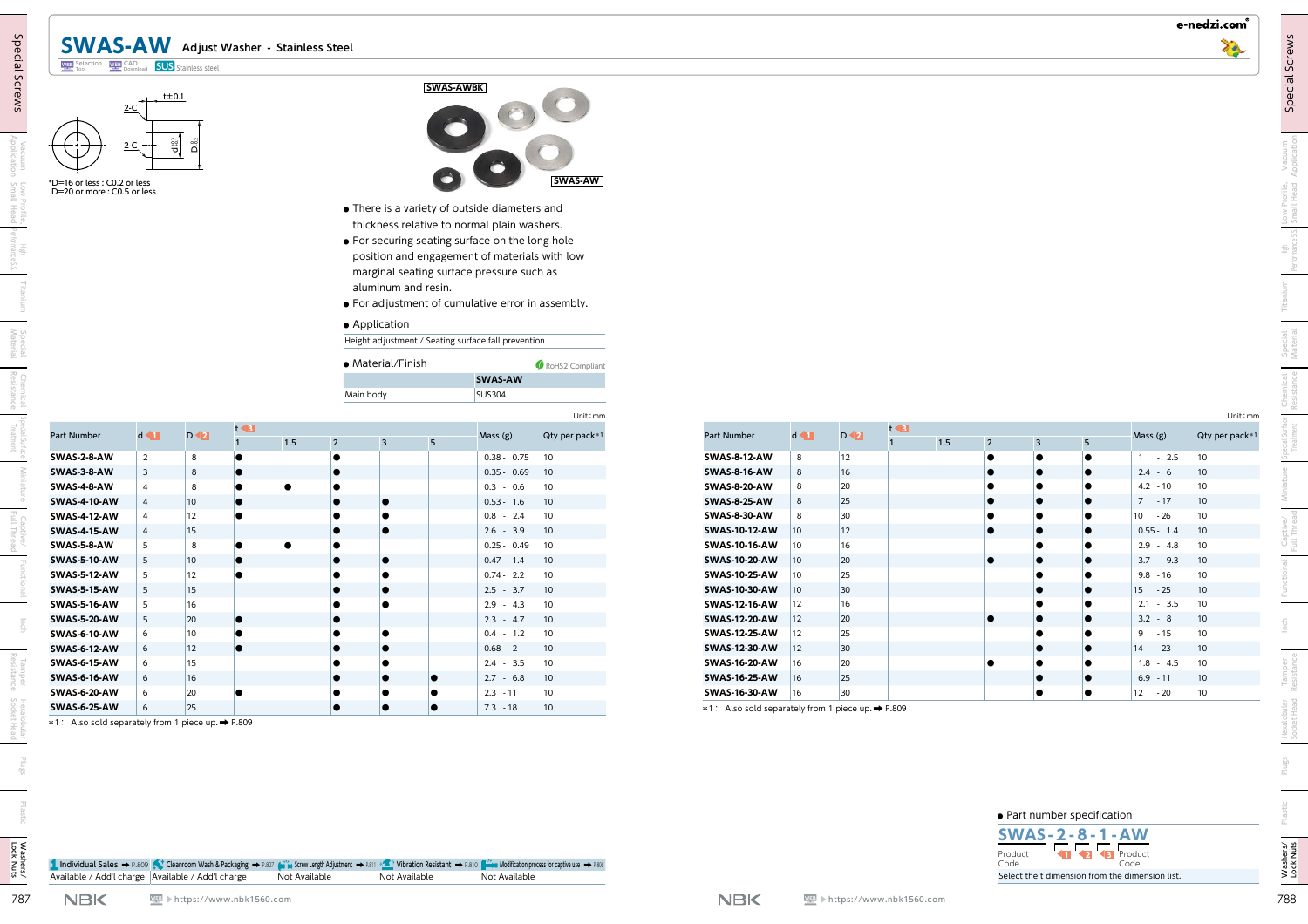## **SWAS-AW Adjust Washer - Stainless Steel** CAD Download **SUS** Stainless steel

## t±0.1 ្នុះ<br>ប 2-C 2-C





- **●** There is a variety of outside diameters and thickness relative to normal plain washers.
- **●** For securing seating surface on the long hole position and engagement of materials with low marginal seating surface pressure such as aluminum and resin.
- **●** For adjustment of cumulative error in assembly.

#### **●** Application

| • Material/Finish | RoHS2 Compliant |
|-------------------|-----------------|
|                   | <b>SWAS-AW</b>  |
| Main body         | <b>SUS304</b>   |

| *D=16 or less : C0.2 or less<br>D=20 or more: C0.5 or less | $+$ $+$ $t \pm 0.1$<br>$2-C$<br>$2-C$ + | $\frac{1}{2}$<br>õ       |                     |         |                |                                    | <b>SWAS-AWBK</b><br>000                                                                                                                                                                                                                                                                            | <b>SWAS-AW</b>               |                                              |                              |                          |                     |         |                |                         |                |                             |                                 |
|------------------------------------------------------------|-----------------------------------------|--------------------------|---------------------|---------|----------------|------------------------------------|----------------------------------------------------------------------------------------------------------------------------------------------------------------------------------------------------------------------------------------------------------------------------------------------------|------------------------------|----------------------------------------------|------------------------------|--------------------------|---------------------|---------|----------------|-------------------------|----------------|-----------------------------|---------------------------------|
|                                                            |                                         |                          |                     |         |                | aluminum and resin.                | • There is a variety of outside diameters and<br>thickness relative to normal plain washers.<br>• For securing seating surface on the long hole<br>position and engagement of materials with low<br>marginal seating surface pressure such as<br>• For adjustment of cumulative error in assembly. |                              |                                              |                              |                          |                     |         |                |                         |                |                             |                                 |
|                                                            |                                         |                          |                     |         | Main body      | • Application<br>· Material/Finish | Height adjustment / Seating surface fall prevention<br>SWAS-AW<br><b>SUS304</b>                                                                                                                                                                                                                    | RoHS2 Compliant              |                                              |                              |                          |                     |         |                |                         |                |                             |                                 |
| Part Number                                                | $d \blacktriangleleft$                  | $D \blacktriangleleft 2$ | $t \triangleleft 3$ | $1.5\,$ | $\overline{2}$ | 5<br>$\overline{3}$                | Mass (g)                                                                                                                                                                                                                                                                                           | Unit: mm<br>Qty per pack*1   | Part Number                                  | $d \blacktriangleleft$       | $D \blacktriangleleft 2$ | $t \triangleleft B$ | $1.5\,$ | $\overline{2}$ | $\overline{\mathbf{3}}$ | 5 <sub>5</sub> | Mass (g)                    | Unit: mm<br>Qty per pack*1      |
| SWAS-2-8-AW                                                | $\overline{2}$                          | 8                        |                     |         |                |                                    | $0.38 - 0.75$                                                                                                                                                                                                                                                                                      | $ 10\rangle$                 | <b>SWAS-8-12-AW</b>                          | 8                            | <b>12</b>                |                     |         |                |                         |                | $1 - 2.5$                   | $ 10\rangle$                    |
| SWAS-3-8-AW                                                | $\overline{3}$                          | 8                        |                     |         |                |                                    | $0.35 - 0.69$                                                                                                                                                                                                                                                                                      | 10                           | <b>SWAS-8-16-AW</b>                          | 8                            | 16                       |                     |         |                |                         |                | $2.4 - 6$                   | $ 10\rangle$                    |
| SWAS-4-8-AW                                                | $\overline{4}$                          | 8                        |                     |         |                |                                    | $0.3 - 0.6$                                                                                                                                                                                                                                                                                        | 10                           | SWAS-8-20-AW                                 | 8                            | 20                       |                     |         |                |                         |                | $4.2 - 10$                  | 10 <sup>°</sup>                 |
| <b>SWAS-4-10-AW</b>                                        |                                         | 10 <sub>1</sub>          |                     |         |                |                                    | $0.53 - 1.6$                                                                                                                                                                                                                                                                                       | 10                           | <b>SWAS-8-25-AW</b>                          | 8                            | 25                       |                     |         |                |                         |                | $7 - 17$                    | $ 10\rangle$                    |
| <b>SWAS-4-12-AW</b>                                        | $\overline{A}$                          | 12                       |                     |         |                |                                    | $0.8 - 2.4$                                                                                                                                                                                                                                                                                        | 10                           | <b>SWAS-8-30-AW</b>                          | 8                            | 30                       |                     |         |                |                         |                | $10 - 26$                   | $ 10\rangle$                    |
| <b>SWAS-4-15-AW</b><br>SWAS-5-8-AW                         | 5                                       | 15<br>8                  |                     |         |                |                                    | $2.6 - 3.9$<br>$0.25 - 0.49$                                                                                                                                                                                                                                                                       | $ 10\rangle$<br>$ 10\rangle$ | <b>SWAS-10-12-AW</b><br><b>SWAS-10-16-AW</b> | $ 10\rangle$<br>$ 10\rangle$ | 12 <br>16                |                     |         |                |                         |                | $0.55 - 1.4$<br>$2.9 - 4.8$ | $ 10\rangle$<br>$ 10\rangle$    |
| <b>SWAS-5-10-AW</b>                                        | 5                                       | $ 10\rangle$             |                     |         |                |                                    | $0.47 - 1.4$                                                                                                                                                                                                                                                                                       | $ 10\rangle$                 | <b>SWAS-10-20-AW</b>                         | $ 10\rangle$                 | 20                       |                     |         |                |                         |                | $3.7 - 9.3$                 | $ 10\rangle$                    |
| <b>SWAS-5-12-AW</b>                                        | 5                                       | 12                       |                     |         |                |                                    | $0.74 - 2.2$                                                                                                                                                                                                                                                                                       | 10                           | SWAS-10-25-AW                                | 10                           | 25                       |                     |         |                |                         |                | $9.8 - 16$                  | $ 10\rangle$                    |
| <b>SWAS-5-15-AW</b>                                        | 5                                       | 15                       |                     |         |                |                                    | $2.5 - 3.7$                                                                                                                                                                                                                                                                                        | $ 10\rangle$                 | <b>SWAS-10-30-AW</b>                         | $ 10\rangle$                 | 30 <sup>°</sup>          |                     |         |                |                         |                | $15 - 25$                   | $ 10\rangle$                    |
| <b>SWAS-5-16-AW</b>                                        | 5                                       | 16                       |                     |         |                |                                    | $2.9 - 4.3$                                                                                                                                                                                                                                                                                        | 10                           | <b>SWAS-12-16-AW</b>                         | $ 12\rangle$                 | 16                       |                     |         |                |                         |                | $2.1 - 3.5$                 | $ 10\rangle$                    |
|                                                            | 5                                       | $ 20\rangle$             |                     |         |                |                                    | $2.3 - 4.7$                                                                                                                                                                                                                                                                                        | $ 10\rangle$                 | <b>SWAS-12-20-AW</b>                         | 12                           | 20                       |                     |         |                |                         | $\bullet$      | $3.2 - 8$                   | $ 10\rangle$                    |
| <b>SWAS-5-20-AW</b>                                        | 6                                       | $ 10\rangle$             |                     |         |                |                                    | $0.4 - 1.2$                                                                                                                                                                                                                                                                                        | 10                           | SWAS-12-25-AW                                | $ 12\rangle$                 | 25                       |                     |         |                |                         |                | $9 - 15$                    | 10 <sup>°</sup>                 |
|                                                            |                                         | 12                       |                     |         | lo             |                                    | $0.68 - 2$                                                                                                                                                                                                                                                                                         | 10                           | <b>SWAS-12-30-AW</b>                         | $ 12\rangle$                 | 30 <sup>°</sup>          |                     |         |                |                         | lo             | $14 - 23$                   | $ 10\rangle$                    |
| <b>SWAS-6-10-AW</b><br><b>SWAS-6-12-AW</b>                 | 6                                       |                          |                     |         |                |                                    | $2.4 - 3.5$                                                                                                                                                                                                                                                                                        | 10                           | SWAS-16-20-AW                                | 16                           | 20<br>25                 |                     |         |                |                         | ıc             | $1.8 - 4.5$<br>$6.9 - 11$   | 10 <sup>°</sup><br>$ 10\rangle$ |
| <b>SWAS-6-15-AW</b>                                        | 6                                       | 15                       |                     |         |                |                                    |                                                                                                                                                                                                                                                                                                    |                              | $SWAS-16-25-AW$   16<br>SWAS-16-30-AW        |                              |                          |                     |         |                |                         |                |                             |                                 |
| <b>SWAS-6-16-AW</b><br><b>SWAS-6-20-AW</b>                 | 6<br>6                                  | 16 <br>20                |                     |         |                |                                    | $2.7 - 6.8$<br>$2.3 - 11$                                                                                                                                                                                                                                                                          | 10<br>10                     |                                              | 16                           | 30 <sup>°</sup>          |                     |         |                |                         | lo             | $12 - 20$                   | $ 10\rangle$                    |



e-nedzi.com®

|  | • Part number specification |  |
|--|-----------------------------|--|



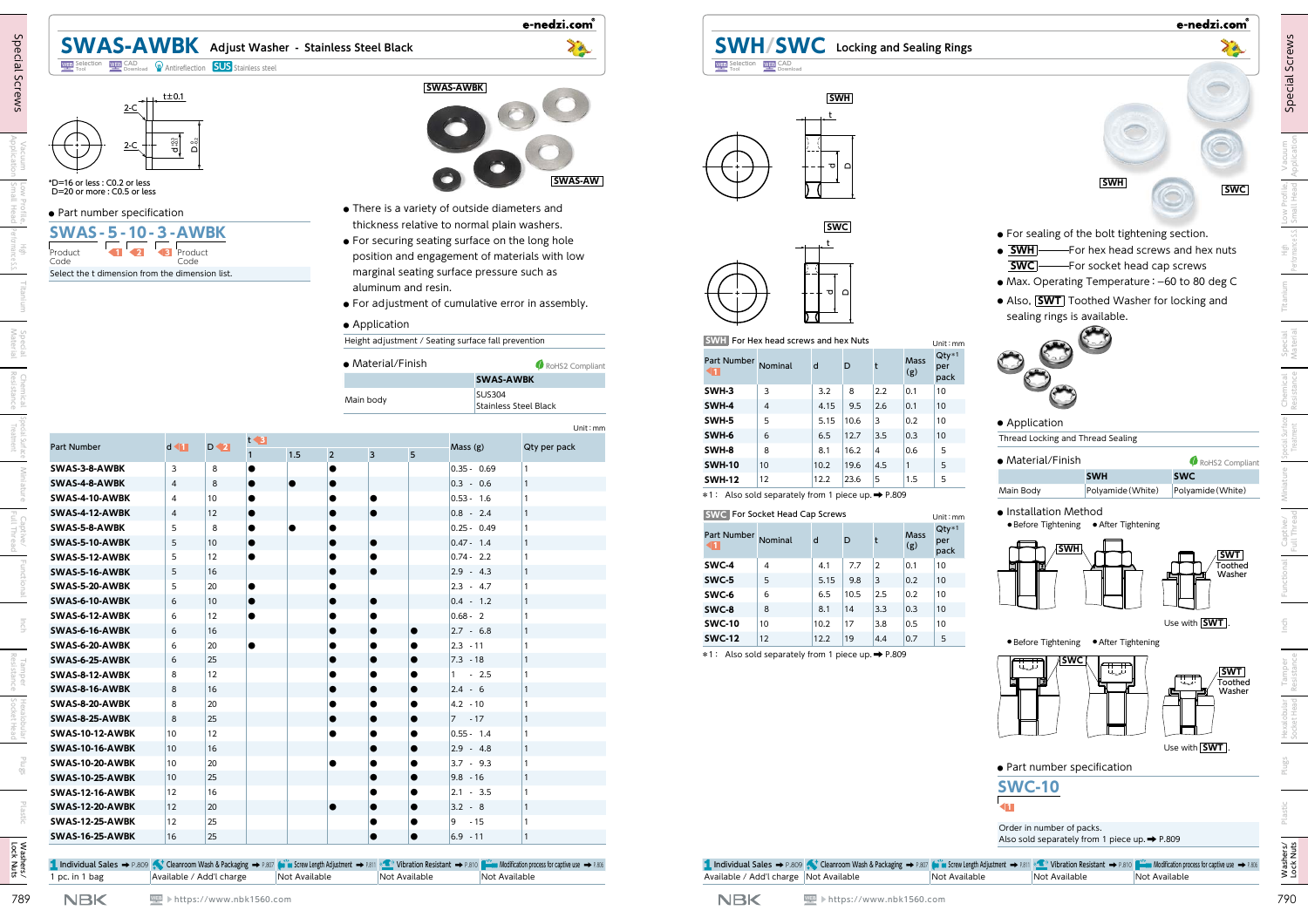|                                                                                                     |                         |                          |                     |     |                |                     |                                                     | e-nedzi.com                                                                                                                                                                            |                                                    |                                                                                    | e-nedzi.com                                                                                                                                            |
|-----------------------------------------------------------------------------------------------------|-------------------------|--------------------------|---------------------|-----|----------------|---------------------|-----------------------------------------------------|----------------------------------------------------------------------------------------------------------------------------------------------------------------------------------------|----------------------------------------------------|------------------------------------------------------------------------------------|--------------------------------------------------------------------------------------------------------------------------------------------------------|
| <b>SWAS-AWBK</b> Adjust Washer - Stainless Steel Black                                              |                         |                          |                     |     |                |                     |                                                     | 70                                                                                                                                                                                     |                                                    | <b>SWH/SWC</b> Locking and Sealing Rings                                           | 70                                                                                                                                                     |
| <b>WEB</b> Selection WEB CAD <b>WEB</b> Download <b>W</b> Antireflection <b>SUS</b> Stainless steel |                         |                          |                     |     |                |                     |                                                     |                                                                                                                                                                                        | <b>WEB</b> Selection WEB CAD                       |                                                                                    |                                                                                                                                                        |
| 2-C                                                                                                 | $+$ $\pm$ $\pm$ 0.1     |                          |                     |     |                |                     | <b>SWAS-AWBK</b>                                    |                                                                                                                                                                                        |                                                    | <b>SWH</b>                                                                         |                                                                                                                                                        |
| $2-C +$<br>*D=16 or less : C0.2 or less<br>D=20 or more: C0.5 or less                               | $\frac{1}{2}$<br>ຶ້     |                          |                     |     |                |                     |                                                     | <b>SWAS-AW</b>                                                                                                                                                                         |                                                    | ᅟᅙ<br>$\Omega$                                                                     | <b>SWH</b><br><b>SWC</b>                                                                                                                               |
| · Part number specification                                                                         |                         |                          |                     |     |                |                     | • There is a variety of outside diameters and       |                                                                                                                                                                                        |                                                    |                                                                                    |                                                                                                                                                        |
| <b>SWAS-5-10-3-AWBK</b>                                                                             |                         |                          |                     |     |                |                     | thickness relative to normal plain washers.         |                                                                                                                                                                                        |                                                    | <b>SWC</b>                                                                         |                                                                                                                                                        |
|                                                                                                     |                         |                          |                     |     |                |                     | • For securing seating surface on the long hole     |                                                                                                                                                                                        |                                                    |                                                                                    | • For sealing of the bolt tightening section.<br>$\bullet$ $\boxed{\text{SWH}}$ - For hex head screws and hex nuts                                     |
| Produc <sup>.</sup><br>Code                                                                         | 4B)<br>Product<br>Code  |                          |                     |     |                |                     |                                                     | position and engagement of materials with low                                                                                                                                          |                                                    |                                                                                    |                                                                                                                                                        |
| Select the t dimension from the dimension list.                                                     |                         |                          |                     |     |                |                     | marginal seating surface pressure such as           |                                                                                                                                                                                        |                                                    |                                                                                    | • Max. Operating Temperature: -60 to 80 deg C                                                                                                          |
|                                                                                                     |                         |                          |                     |     |                | aluminum and resin. |                                                     |                                                                                                                                                                                        |                                                    | - ၁၊<br>$\Omega$                                                                   | • Also, <b>SWT</b> Toothed Washer for locking and                                                                                                      |
|                                                                                                     |                         |                          |                     |     |                |                     |                                                     | • For adjustment of cumulative error in assembly.                                                                                                                                      |                                                    |                                                                                    | sealing rings is available.                                                                                                                            |
|                                                                                                     |                         |                          |                     |     |                | • Application       |                                                     |                                                                                                                                                                                        |                                                    |                                                                                    |                                                                                                                                                        |
|                                                                                                     |                         |                          |                     |     |                |                     | Height adjustment / Seating surface fall prevention |                                                                                                                                                                                        | <b>SWH</b> For Hex head screws and hex Nuts        |                                                                                    | Unit: mm                                                                                                                                               |
|                                                                                                     |                         |                          |                     |     |                | • Material/Finish   |                                                     | RoHS2 Compliant<br><b>SWAS-AWBK</b>                                                                                                                                                    | Part Number<br>Nominal                             | $Qty*1$<br>Mass<br>d<br>D<br>per<br>(g)<br>pack                                    |                                                                                                                                                        |
|                                                                                                     |                         |                          |                     |     | Main body      |                     | <b>SUS304</b>                                       |                                                                                                                                                                                        | SWH-3<br>$\overline{3}$<br>$\overline{4}$<br>SWH-4 | 8<br> 2.2 <br> 0.1<br>10<br>3.2<br>10                                              |                                                                                                                                                        |
|                                                                                                     |                         |                          |                     |     |                |                     |                                                     | <b>Stainless Steel Black</b>                                                                                                                                                           | 5 <sup>5</sup><br>SWH-5                            | 4.15<br>9.5<br> 2.6<br> 0.1<br>5.15<br>10.6<br> 3 <br>0.2<br>10                    | • Application                                                                                                                                          |
|                                                                                                     |                         |                          |                     |     |                |                     |                                                     | Unit: mm                                                                                                                                                                               | 6<br>SWH-6                                         | 6.5<br>12.7<br> 0.3 <br>$\vert 3.5$<br>10                                          | Thread Locking and Thread Sealing                                                                                                                      |
| Part Number                                                                                         | $d \blacksquare$        | $D \blacktriangleleft 2$ | $t \triangleleft B$ | 1.5 | $\overline{2}$ | 5                   | Mass(g)                                             | Qty per pack                                                                                                                                                                           | 8<br>SWH-8                                         | 8.1<br>16.2<br>0.6<br>5<br>$\vert$ 4                                               |                                                                                                                                                        |
| SWAS-3-8-AWBK                                                                                       | $\overline{\mathbf{3}}$ | 8                        |                     |     |                |                     | $0.35 - 0.69$                                       |                                                                                                                                                                                        | 10 <sup>°</sup><br><b>SWH-10</b>                   | 5<br>19.6<br>10.2<br> 4.5                                                          | • Material/Finish<br>RoHS2 Compliant                                                                                                                   |
| SWAS-4-8-AWBK                                                                                       | $\overline{4}$          | 8                        |                     |     |                |                     | $ 0.3 - 0.6 $                                       |                                                                                                                                                                                        | 12<br><b>SWH-12</b>                                | 12.2<br>23.6<br>1.5<br>5<br>5                                                      | <b>SWC</b><br><b>SWH</b>                                                                                                                               |
| SWAS-4-10-AWBK                                                                                      | 4                       | 10 <sup>10</sup>         |                     |     |                |                     | $ 0.53 - 1.6 $                                      |                                                                                                                                                                                        |                                                    | *1: Also sold separately from 1 piece up. → P.809                                  | Polyamide (White)<br>Polyamide (White)<br>Main Body                                                                                                    |
| SWAS-4-12-AWBK                                                                                      |                         | 12                       |                     |     |                |                     | $ 0.8 - 2.4 $                                       |                                                                                                                                                                                        | <b>SWC</b> For Socket Head Cap Screws              |                                                                                    | • Installation Method<br>Unit: mm                                                                                                                      |
| SWAS-5-8-AWBK                                                                                       | 5.                      | 8                        |                     |     |                |                     | $0.25 - 0.49$                                       |                                                                                                                                                                                        | <b>Part Number</b><br>Nominal                      | Mass<br>D<br>d<br>per                                                              | • Before Tightening • After Tightening<br>$Qty*1$                                                                                                      |
| SWAS-5-10-AWBK<br>SWAS-5-12-AWBK                                                                    | 5<br>5.                 | 10 <sup>°</sup><br>12    |                     |     |                |                     | $0.47 - 1.4$<br>$0.74 - 2.2$                        |                                                                                                                                                                                        |                                                    | (g)<br>pack                                                                        | <b>SWT</b>                                                                                                                                             |
| SWAS-5-16-AWBK                                                                                      | 5                       | $16\,$                   |                     |     |                |                     | $2.9 - 4.3$                                         |                                                                                                                                                                                        | SWC-4<br>$\overline{4}$                            | 7.7<br> 0.1<br>10<br> 2 <br>4.1                                                    | <b>Foothec</b><br>Washer                                                                                                                               |
| SWAS-5-20-AWBK                                                                                      |                         | 20                       |                     |     |                |                     | $ 2.3 - 4.7$                                        |                                                                                                                                                                                        | SWC-5<br>5                                         | 0.2 <br>10<br>5.15<br>9.8<br> 3                                                    |                                                                                                                                                        |
| SWAS-6-10-AWBK                                                                                      | 6                       | 10                       |                     |     |                |                     | $ 0.4 - 1.2 $                                       |                                                                                                                                                                                        | SWC-6<br>6<br>SWC-8<br>8                           | 6.5<br>10.5<br>2.5<br> 0.2 <br>10<br>$3.3$<br> 0.3 <br>8.1<br> 14 <br>$ 10\rangle$ |                                                                                                                                                        |
| SWAS-6-12-AWBK                                                                                      | 6                       | 12                       |                     |     |                |                     | $0.68 - 2$                                          |                                                                                                                                                                                        | <b>SWC-10</b><br>10                                | 10.2<br>17<br>3.8<br>0.5<br>10                                                     | Use with <b>SWT</b> .                                                                                                                                  |
| SWAS-6-16-AWBK                                                                                      | 6                       | 16                       |                     |     |                |                     | $2.7 - 6.8$                                         |                                                                                                                                                                                        | $ 12\rangle$<br><b>SWC-12</b>                      | $5\overline{)}$<br>12.2<br> 0.7 <br>$ 19\rangle$<br> 4.4                           | • Before Tightening • After Tightening                                                                                                                 |
| SWAS-6-20-AWBK<br>SWAS-6-25-AWBK                                                                    | 6<br>6                  | 20<br>25                 |                     |     |                |                     | $ 2.3 - 11$<br>$ 7.3 - 18 $                         |                                                                                                                                                                                        |                                                    | *1: Also sold separately from 1 piece up. → P.809                                  | ∤SWC∣                                                                                                                                                  |
| SWAS-8-12-AWBK                                                                                      |                         | 12                       |                     |     |                |                     | $1 - 2.5$                                           |                                                                                                                                                                                        |                                                    |                                                                                    | <b>SWT</b>                                                                                                                                             |
| SWAS-8-16-AWBK                                                                                      |                         | $16\phantom{.}$          |                     |     |                |                     | $ 2.4 - 6$                                          |                                                                                                                                                                                        |                                                    |                                                                                    | المريكا<br>Toothed<br>Washer                                                                                                                           |
| SWAS-8-20-AWBK                                                                                      |                         | 20                       |                     |     |                |                     | $ 4.2 \cdot 10$                                     |                                                                                                                                                                                        |                                                    |                                                                                    |                                                                                                                                                        |
| SWAS-8-25-AWBK                                                                                      |                         | $25\,$                   |                     |     |                |                     | $ 7 - 17 $                                          |                                                                                                                                                                                        |                                                    |                                                                                    |                                                                                                                                                        |
| <b>SWAS-10-12-AWBK</b><br><b>SWAS-10-16-AWBK</b>                                                    | 10<br>10                | 12                       |                     |     |                |                     | $0.55 - 1.4$<br>$2.9 - 4.8$                         |                                                                                                                                                                                        |                                                    |                                                                                    | Use with SWT.                                                                                                                                          |
| SWAS-10-20-AWBK                                                                                     | 10                      | 16<br>20                 |                     |     |                |                     | $3.7 - 9.3$                                         |                                                                                                                                                                                        |                                                    |                                                                                    |                                                                                                                                                        |
| <b>SWAS-10-25-AWBK</b>                                                                              | 10                      | 25                       |                     |     |                |                     | $9.8 - 16$                                          |                                                                                                                                                                                        |                                                    |                                                                                    | • Part number specification                                                                                                                            |
| <b>SWAS-12-16-AWBK</b>                                                                              | 12                      | 16                       |                     |     |                |                     | $ 2.1 - 3.5 $                                       |                                                                                                                                                                                        |                                                    |                                                                                    | <b>SWC-10</b>                                                                                                                                          |
| SWAS-12-20-AWBK                                                                                     | 12                      | $ 20\rangle$             |                     |     |                |                     | $3.2 - 8$                                           |                                                                                                                                                                                        |                                                    |                                                                                    | 41                                                                                                                                                     |
| <b>SWAS-12-25-AWBK</b>                                                                              | <b>12</b>               | 25                       |                     |     |                |                     | $ 9 \cdot .15$                                      |                                                                                                                                                                                        |                                                    |                                                                                    | Order in number of packs.                                                                                                                              |
|                                                                                                     | 16                      | 25                       |                     |     |                |                     | $6.9 - 11$                                          |                                                                                                                                                                                        |                                                    |                                                                                    | Also sold separately from 1 piece up. → P.809                                                                                                          |
| <b>SWAS-16-25-AWBK</b>                                                                              |                         |                          |                     |     |                |                     |                                                     |                                                                                                                                                                                        |                                                    |                                                                                    |                                                                                                                                                        |
|                                                                                                     |                         |                          |                     |     |                |                     |                                                     | 1 Inclividual Sales → P.809 < Cleanroom Wash & Packaging → P.807 (wi w Screw Length Adjustment → P.811 < Vibration Resistant → P.810 (wiw Modification process for captive use → P.806 |                                                    |                                                                                    | 1. Inclividual Sales → P.809 < Cleanroom Wash & Packaging → P.807 (wi w Screw Length Adjustment → P.811 < Clividual Sales → P.806 (Captive use → P.806 |

| Part Number   | Nominal        | d    | D    | t   | <b>Mass</b><br>(g) | ww<br>per<br>pack |
|---------------|----------------|------|------|-----|--------------------|-------------------|
| SWH-3         | 3              | 3.2  | 8    | 2.2 | 0.1                | 10                |
| SWH-4         | $\overline{4}$ | 4.15 | 9.5  | 2.6 | 0.1                | 10                |
| SWH-5         | 5              | 5.15 | 10.6 | 3   | 0.2                | 10                |
| SWH-6         | 6              | 6.5  | 12.7 | 3.5 | 0.3                | 10                |
| SWH-8         | 8              | 8.1  | 16.2 | 4   | 0.6                | 5                 |
| <b>SWH-10</b> | 10             | 10.2 | 19.6 | 4.5 | $\mathbf{1}$       | 5                 |
| SWH-12        | 12             | 12.2 | 23.6 | 5   | 1.5                | 5                 |

|               | <b>SWC</b> For Socket Head Cap Screws |      |      |     |             | Unit: mr               |
|---------------|---------------------------------------|------|------|-----|-------------|------------------------|
| Part Number   | Nominal                               | d    | D    | t   | Mass<br>(g) | $Qty*1$<br>per<br>pack |
| SWC-4         | 4                                     | 4.1  | 7.7  | 2   | 0.1         | 10                     |
| SWC-5         | 5                                     | 5.15 | 9.8  | 3   | 0.2         | 10                     |
| SWC-6         | 6                                     | 6.5  | 10.5 | 2.5 | 0.2         | 10                     |
| SWC-8         | 8                                     | 8.1  | 14   | 3.3 | 0.3         | 10                     |
| <b>SWC-10</b> | 10                                    | 10.2 | 17   | 3.8 | 0.5         | 10                     |
| <b>SWC-12</b> | 12                                    | 12.2 | 19   | 4.4 | 0.7         | 5                      |







| <b>Part Number</b><br>11 | Nominal        | d    | D    | t   | Mass<br>(g)  | Qty'<br>per<br>pacl |
|--------------------------|----------------|------|------|-----|--------------|---------------------|
| SWH-3                    | 3              | 3.2  | 8    | 2.2 | 0.1          | 10                  |
| SWH-4                    | $\overline{4}$ | 4.15 | 9.5  | 2.6 | 0.1          | 10                  |
| SWH-5                    | 5              | 5.15 | 10.6 | 3   | 0.2          | 10                  |
| SWH-6                    | 6              | 6.5  | 12.7 | 3.5 | 0.3          | 10                  |
| SWH-8                    | 8              | 8.1  | 16.2 | 4   | 0.6          | 5                   |
| <b>SWH-10</b>            | 10             | 10.2 | 19.6 | 4.5 | $\mathbf{1}$ | 5                   |
| <b>CIA/LI 12</b>         | 12             | 1 ງາ | າາ ເ | ы   | 1 E          | Е                   |

| C For Socket Head Cap Screws<br>Unit:mm |         |      |      |                |                    |                        |  |  |  |
|-----------------------------------------|---------|------|------|----------------|--------------------|------------------------|--|--|--|
| t Number                                | Nominal | d    | D    |                | <b>Mass</b><br>(g) | $Qty*1$<br>per<br>pack |  |  |  |
| <b>C-4</b>                              | 4       | 4.1  | 7.7  | $\overline{2}$ | 0.1                | 10                     |  |  |  |
| 'C-5                                    | 5       | 5.15 | 9.8  | 3              | 0.2                | 10                     |  |  |  |
| 'C-6                                    | 6       | 6.5  | 10.5 | 2.5            | 0.2                | 10                     |  |  |  |
| 'C-8                                    | 8       | 8.1  | 14   | 3.3            | 0.3                | 10                     |  |  |  |
|                                         |         |      |      |                |                    |                        |  |  |  |

- **●** There is a variety of outside diameters and thickness relative to normal plain washers.
- g hole with low marginal seating surface pressure such as
	- $is$  embly.

| laterial/Finish | RoHS2 Compliant                        |
|-----------------|----------------------------------------|
|                 | <b>SWAS-AWBK</b>                       |
| n body          | <b>SUS304</b><br>Stainless Steel Black |

|               |        | D. I                               |
|---------------|--------|------------------------------------|
| SWH-6         | 6      | 6.5                                |
| SWH-8         | 8      | 8.1                                |
| <b>SWH-10</b> | 10     | 10.2                               |
| <b>SWH-12</b> | 12     | 12.2                               |
|               |        |                                    |
|               | כ-חעשכ | ∍<br>*1: Also sold separately from |

e-nedzi.com®

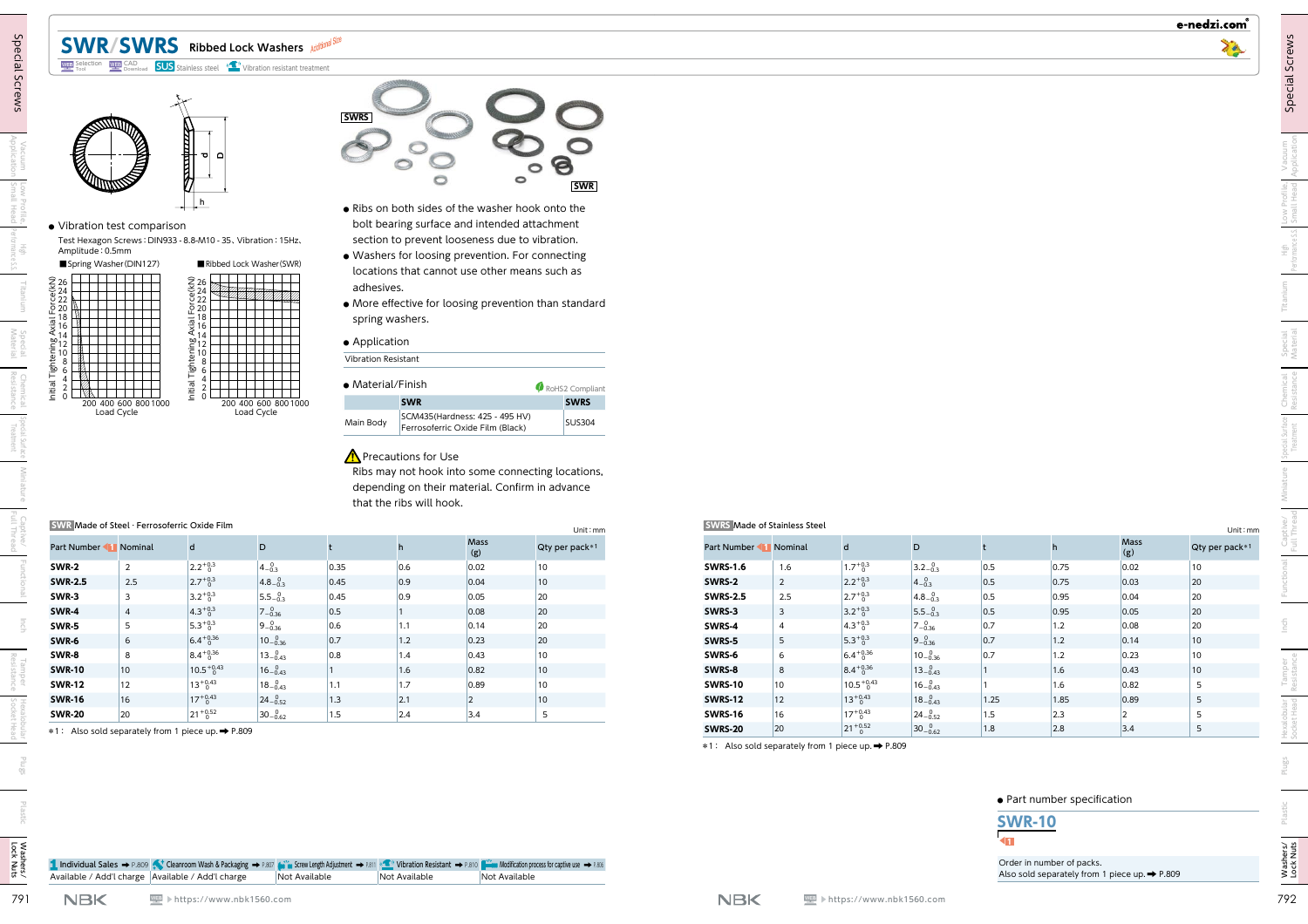# **SWR/SWRS Ribbed Lock Washers**









- **●** Ribs on both sides of the washer hook onto the bolt bearing surface and intended attachment section to prevent looseness due to vibration.
- **●** Washers for loosing prevention. For connecting locations that cannot use other means such as adhesives.
- **●** More effective for loosing prevention than standard spring washers.

#### **●** Application



### $\bigwedge$  Precautions for Use

| SWR Made of Steel · Ferrosoferric Oxide Film<br>Unit:mm |                |                       |                                 |      |     |                    |                |  |  |  |
|---------------------------------------------------------|----------------|-----------------------|---------------------------------|------|-----|--------------------|----------------|--|--|--|
| Part Number 1 Nominal                                   |                | d                     | D                               |      | h   | <b>Mass</b><br>(g) | Qty per pack*1 |  |  |  |
| SWR-2                                                   | 2              | $2.2^{+0.3}_{-0.3}$   | $4 - 0.3$                       | 0.35 | 0.6 | 0.02               | 10             |  |  |  |
| <b>SWR-2.5</b>                                          | 2.5            | $2.7^{+0.3}$          | $4.8 - \substack{0.3 \\ -0.3}$  | 0.45 | 0.9 | 0.04               | 10             |  |  |  |
| SWR-3                                                   | 3              | $3.2^{+0.3}_{0}$      | $5.5 - \stackrel{0}{0.3}$       | 0.45 | 0.9 | 0.05               | 20             |  |  |  |
| SWR-4                                                   | $\overline{4}$ | $4.3^{+0.3}_{-0.3}$   | $7 - \stackrel{0}{0.36}$        | 0.5  |     | 0.08               | 20             |  |  |  |
| SWR-5                                                   | 5              | $5.3^{+0.3}$          | $9 - 0.36$                      | 0.6  | 1.1 | 0.14               | 20             |  |  |  |
| SWR-6                                                   | 6              | $6.4^{+0.36}$         | $10^{-0}_{-0.36}$               | 0.7  | 1.2 | 0.23               | 20             |  |  |  |
| SWR-8                                                   | 8              | $8.4^{+0.36}$         | $13_{-0.43}^{0}$                | 0.8  | 1.4 | 0.43               | 10             |  |  |  |
| <b>SWR-10</b>                                           | 10             | $10.5^{+0.43}_{-0.5}$ | $16_{-0.43}$                    |      | 1.6 | 0.82               | 10             |  |  |  |
| <b>SWR-12</b>                                           | 12             | $13^{+0.43}$          | $18-0.43$                       | 1.1  | 1.7 | 0.89               | 10             |  |  |  |
| <b>SWR-16</b>                                           | 16             | $17^{+0.43}_{0}$      | $24-0.52$                       | 1.3  | 2.1 | 2                  | 10             |  |  |  |
| <b>SWR-20</b>                                           | 20             | $21^{+0.52}_{-0}$     | $30 - \substack{0.62 \\ -0.62}$ | 1.5  | 2.4 | 3.4                | 5              |  |  |  |

| · Vibration test comparison                                                                                                                                                    | h                                                            |                                             | <b>SWRS</b>      | . Ribs on both sides of the washer hook onto the                                                  | $\circ$                          | 8<br><b>SWR</b>                |                                     |                       |                                            |                                                        |             |               |              |                                 |
|--------------------------------------------------------------------------------------------------------------------------------------------------------------------------------|--------------------------------------------------------------|---------------------------------------------|------------------|---------------------------------------------------------------------------------------------------|----------------------------------|--------------------------------|-------------------------------------|-----------------------|--------------------------------------------|--------------------------------------------------------|-------------|---------------|--------------|---------------------------------|
|                                                                                                                                                                                |                                                              |                                             |                  | bolt bearing surface and intended attachment                                                      |                                  |                                |                                     |                       |                                            |                                                        |             |               |              |                                 |
| Amplitude: 0.5mm                                                                                                                                                               | Test Hexagon Screws: DIN933 - 8.8-M10 - 35, Vibration: 15Hz, |                                             |                  | section to prevent looseness due to vibration.                                                    |                                  |                                |                                     |                       |                                            |                                                        |             |               |              |                                 |
| Spring Washer (DIN127)                                                                                                                                                         |                                                              | Ribbed Lock Washer (SWR)                    |                  | · Washers for loosing prevention. For connecting<br>locations that cannot use other means such as |                                  |                                |                                     |                       |                                            |                                                        |             |               |              |                                 |
|                                                                                                                                                                                |                                                              |                                             |                  | adhesives.                                                                                        |                                  |                                |                                     |                       |                                            |                                                        |             |               |              |                                 |
| ៑ 20                                                                                                                                                                           |                                                              |                                             |                  | • More effective for loosing prevention than standard<br>spring washers.                          |                                  |                                |                                     |                       |                                            |                                                        |             |               |              |                                 |
|                                                                                                                                                                                |                                                              |                                             |                  |                                                                                                   |                                  |                                |                                     |                       |                                            |                                                        |             |               |              |                                 |
|                                                                                                                                                                                |                                                              |                                             |                  | • Application<br>Vibration Resistant                                                              |                                  |                                |                                     |                       |                                            |                                                        |             |               |              |                                 |
|                                                                                                                                                                                |                                                              |                                             |                  | · Material/Finish                                                                                 |                                  |                                |                                     |                       |                                            |                                                        |             |               |              |                                 |
|                                                                                                                                                                                |                                                              | 200 400 600 800 1000                        |                  | <b>SWR</b>                                                                                        |                                  | RoHS2 Compliant<br><b>SWRS</b> |                                     |                       |                                            |                                                        |             |               |              |                                 |
|                                                                                                                                                                                |                                                              |                                             |                  |                                                                                                   |                                  |                                |                                     |                       |                                            |                                                        |             |               |              |                                 |
| 200 400 600 800 1000<br>Load Cycle                                                                                                                                             |                                                              | Load Cycle                                  |                  |                                                                                                   | SCM435(Hardness: 425 - 495 HV)   |                                |                                     |                       |                                            |                                                        |             |               |              |                                 |
|                                                                                                                                                                                |                                                              |                                             | Main Body        |                                                                                                   | Ferrosoferric Oxide Film (Black) | <b>SUS304</b>                  |                                     |                       |                                            |                                                        |             |               |              |                                 |
|                                                                                                                                                                                |                                                              |                                             |                  | <b>A</b> Precautions for Use<br>Ribs may not hook into some connecting locations,                 |                                  |                                |                                     |                       |                                            |                                                        |             |               |              |                                 |
|                                                                                                                                                                                | SWR Made of Steel · Ferrosoferric Oxide Film                 |                                             |                  | depending on their material. Confirm in advance<br>that the ribs will hook.                       |                                  | Unit: mm                       | <b>SWRS Made of Stainless Steel</b> |                       |                                            |                                                        |             |               |              |                                 |
|                                                                                                                                                                                | $\mathsf{d}$                                                 | D                                           | t                | h                                                                                                 | Mass<br>(g)                      | Qty per pack*1                 | Part Number 1 Nominal               |                       | $\mathsf{d}$                               | D                                                      |             | h             | Mass<br>(g)  |                                 |
| $\overline{2}$                                                                                                                                                                 | $2.2^{+0.3}_{-0.3}$                                          | $4-0.3$                                     | 0.35             | 0.6                                                                                               | 0.02                             | $ 10\rangle$                   | <b>SWRS-1.6</b>                     | 1.6                   | $1.7^{+0.3}_{-0.3}$                        | $3.2 - 0.3$                                            | 0.5         | 0.75          | 0.02         | $ 10\rangle$                    |
| 2.5<br>$\overline{3}$                                                                                                                                                          | $2.7^{+0.3}_{-0}$                                            | $4.8-0.3$                                   | 0.45 <br>0.45    | 0.9 <br>$ 0.9\rangle$                                                                             | 0.04<br>0.05                     | $ 10\rangle$<br>20             | SWRS-2                              | $\overline{2}$<br>2.5 | $2.2^{+0.3}_{-0}$                          | $4-0.3$                                                | 0.5 <br>0.5 | 0.75 <br>0.95 | 0.03<br>0.04 | 20<br>20                        |
| $\overline{4}$                                                                                                                                                                 | $3.2^{+0.3}_{-0}$<br>$4.3^{+0.3}_{-0.3}$                     | $5.5 - \substack{0.3 \\ 0.3}$<br>$7 - 0.36$ | 0.5              |                                                                                                   | 0.08                             | 20                             | <b>SWRS-2.5</b><br>SWRS-3           | $\overline{3}$        | $2.7^{+0.3}_{-0.3}$<br>$3.2^{+0.3}_{-0.3}$ | $4.8 - \substack{0.3 \\ 0.3}$<br>$5.5 - \frac{0}{0.3}$ | 0.5         | 0.95          | 0.05         | 20                              |
| 5                                                                                                                                                                              | $5.3^{+0.3}_{-0}$                                            | $9 - 0.36$                                  | 0.6              | 1.1                                                                                               | 0.14                             | 20                             | SWRS-4                              | $\overline{4}$        | $4.3^{+0.3}_{-0.3}$                        | $7 - 0.36$                                             | 0.7         | 1.2           | 0.08         | 20                              |
| 6                                                                                                                                                                              | $6.4^{+0.36}_{-0.36}$                                        | $10^{-0.36}$                                | 0.7              | 1.2                                                                                               | 0.23                             | 20                             | SWRS-5                              | 5                     | $5.3^{+0.3}_{-0.3}$                        | $9 - 0.36$                                             | 0.7         | 1.2           | 0.14         | $ 10\rangle$                    |
| 8                                                                                                                                                                              | $8.4^{+0.36}_{-0.36}$                                        | $13_{-0.43}^{0}$                            | 0.8<br>$\vert$ 1 | 1.4                                                                                               | 0.43                             | 10 <sup>1</sup>                | SWRS-6                              | 6                     | $6.4^{+0.36}_{-0}$                         | $10^{-0.36}$                                           | 0.7         | 1.2           | 0.23         | 10 <sup>1</sup>                 |
| $10$<br>12                                                                                                                                                                     | $10.5^{+0.43}_{-0.5}$                                        | $16_{-0.43}$                                | 1.1              | 1.6<br>1.7                                                                                        | 0.82<br>0.89                     | $ 10\rangle$<br>$ 10\rangle$   | SWRS-8<br>SWRS-10                   | 8<br>10 <sup>°</sup>  | $8.4^{+0.36}_{-0.36}$                      | $13_{-0.43}$                                           |             | 1.6<br>1.6    | 0.43<br>0.82 | 10 <sup>°</sup><br>5            |
| 16                                                                                                                                                                             | $13^{+0.43}_{-0}$<br>$17^{+0.43}_{0}$                        | $18-0.43$<br>$24_{-0.52}^{0}$               | 1.3              | 2.1                                                                                               | 2                                | $ 10\rangle$                   | <b>SWRS-12</b>                      | 12                    | $10.5^{+0.43}_{-0.5}$<br>$13^{+0.43}_{-0}$ | $16_{-0.43}$<br>$18-0.43$                              | 1.25        | 1.85          | 0.89         | Unit: mm<br>Qty per pack*1<br>5 |
| Part Number 1 Nominal<br>SWR-2<br><b>SWR-2.5</b><br>SWR-3<br><b>SWR-4</b><br>SWR-5<br>SWR-6<br>SWR-8<br><b>SWR-10</b><br><b>SWR-12</b><br><b>SWR-16</b><br><b>SWR-20</b><br>20 | $21^{+0.52}_{-0}$                                            | $30-0.62$                                   | 1.5              | 2.4                                                                                               | 3.4                              | 5                              | SWRS-16                             | 16                    | $17^{+0.43}_{-0}$<br>$21^{+0.52}_{-0}$     | $24_{-0.52}^{0}$<br>$30-0.62$                          | 1.5         | 2.3           | 12           | 5                               |

### **●** Part number specification



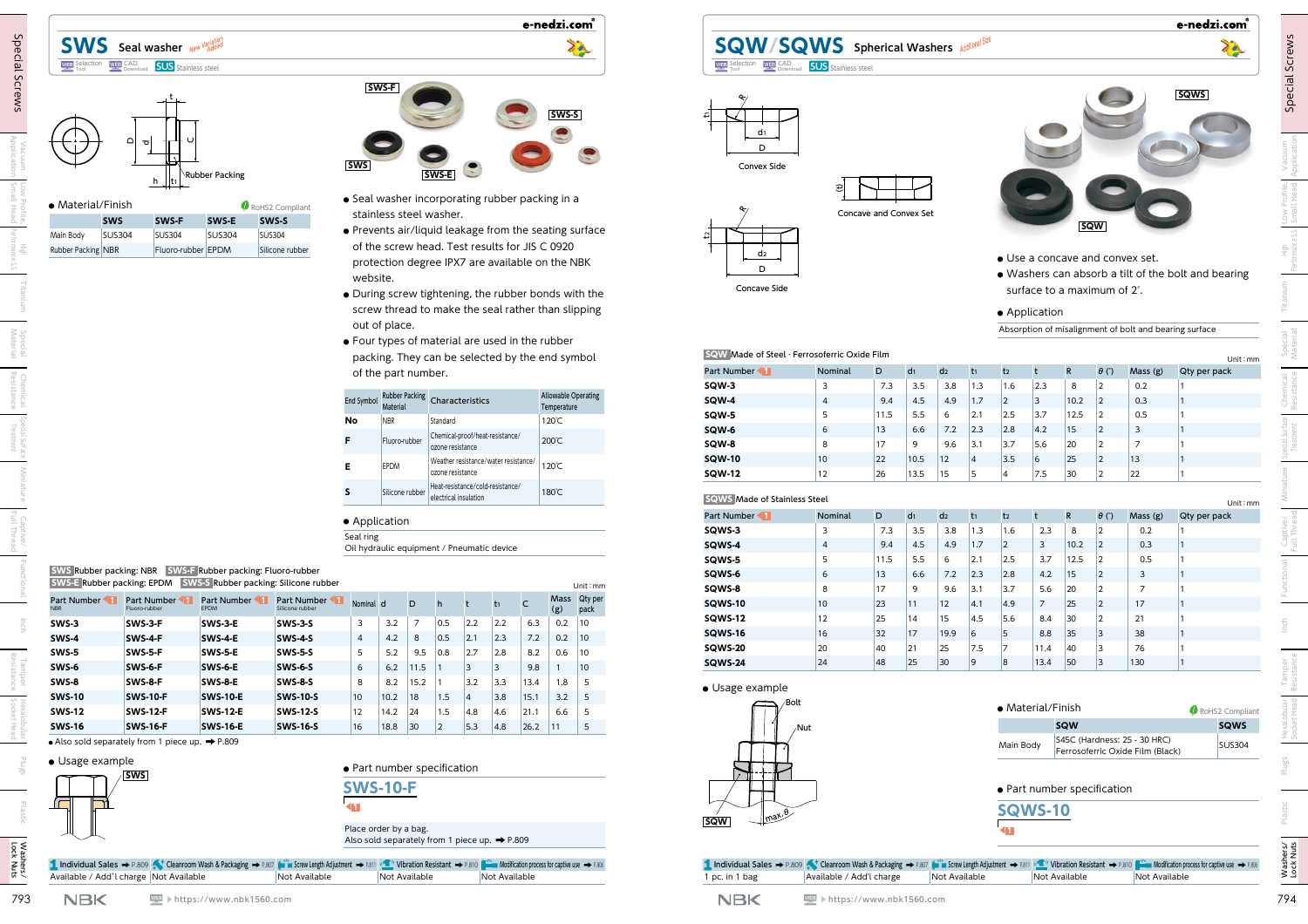#### **SWS** Seal washer New Variation バリエーション WEB CAD **SUS** Stainless steel

### t  $h_{\perp}$ t<sub>1</sub> ubber Packing D᠊ᠣ C

| • Material/Finish  |               | RoHS2 Compliant    |               |                 |
|--------------------|---------------|--------------------|---------------|-----------------|
|                    | <b>SWS</b>    | SWS-F              | SWS-E         | SWS-S           |
| Main Body          | <b>SUS304</b> | <b>SUS304</b>      | <b>SUS304</b> | <b>SUS304</b>   |
| Rubber Packing NBR |               | Fluoro-rubber EPDM |               | Silicone rubber |



e-nedzi.com

- **●** Seal washer incorporating rubber packing in a stainless steel washer.
- **●** Prevents air/liquid leakage from the seating surface of the screw head. Test results for JIS C 0920 protection degree IPX7 are available on the NBK website.
- **●** During screw tightening, the rubber bonds with the screw thread to make the seal rather than slipping out of place.
- **●** Four types of material are used in the rubber packing. They can be selected by the end symbol of the part number.

| End Symbol | <b>Rubber Packing</b><br>Material | Characteristics                                           | <b>Allowable Operating</b><br>Temperature |
|------------|-----------------------------------|-----------------------------------------------------------|-------------------------------------------|
| Nο         | <b>NBR</b>                        | Standard                                                  | 120°C                                     |
| F          | Fluoro-rubber                     | Chemical-proof/heat-resistance/<br>ozone resistance       | $200^{\circ}$ C                           |
| Е          | <b>EPDM</b>                       | Weather resistance/water resistance/<br>ozone resistance  | 120℃                                      |
| S          | Silicone rubber                   | Heat-resistance/cold-resistance/<br>electrical insulation | 180°C                                     |

#### **●** Application

| <b>SWS Rubber packing: NBR</b> SWS-F Rubber packing: Fluoro-rubber      |
|-------------------------------------------------------------------------|
| <b>SWS-E Rubber packing: EPDM SWS-S Rubber packing: Silicone rubber</b> |

| Part Number<br><b>NBR</b> | Part Number<br>Fluoro-rubber | Part Number<br><b>EPDM</b> | Part Number 11<br>Silicone rubber | Nominal d      |      | D    | h              |                | t1  | C    | <b>Mass</b><br>(g) | Qty per<br>pack |
|---------------------------|------------------------------|----------------------------|-----------------------------------|----------------|------|------|----------------|----------------|-----|------|--------------------|-----------------|
| SWS-3                     | SWS-3-F                      | SWS-3-E                    | <b>SWS-3-S</b>                    | 3              | 3.2  | 7    | 0.5            | 2.2            | 2.2 | 6.3  | 0.2                | 10              |
| SWS-4                     | SWS-4-F                      | SWS-4-E                    | <b>SWS-4-S</b>                    | $\overline{4}$ | 4.2  | 8    | 0.5            | 2.1            | 2.3 | 7.2  | 0.2                | 10              |
| SWS-5                     | SWS-5-F                      | <b>SWS-5-E</b>             | <b>SWS-5-S</b>                    | 5              | 5.2  | 9.5  | 0.8            | 2.7            | 2.8 | 8.2  | 0.6                | 10              |
| SWS-6                     | SWS-6-F                      | SWS-6-E                    | <b>SWS-6-S</b>                    | 6              | 6.2  | 11.5 |                | 3              | 3   | 9.8  |                    | 10              |
| SWS-8                     | SWS-8-F                      | <b>SWS-8-E</b>             | <b>SWS-8-S</b>                    | 8              | 8.2  | 15.2 |                | 3.2            | 3.3 | 13.4 | 1.8                | 5               |
| <b>SWS-10</b>             | <b>SWS-10-F</b>              | <b>SWS-10-E</b>            | <b>SWS-10-S</b>                   | 10             | 10.2 | 18   | 1.5            | $\overline{4}$ | 3.8 | 15.1 | 3.2                | 5               |
| <b>SWS-12</b>             | <b>SWS-12-F</b>              | <b>SWS-12-E</b>            | <b>SWS-12-S</b>                   | 12             | 14.2 | 24   | 1.5            | 4.8            | 4.6 | 21.1 | 6.6                | 5               |
| <b>SWS-16</b>             | <b>SWS-16-F</b>              | <b>SWS-16-E</b>            | <b>SWS-16-S</b>                   | 16             | 18.8 | 30   | $\overline{2}$ | 5.3            | 4.8 | 26.2 | 11                 | 5               |



## **SQW/SQWS** Spherical Washers Additional Size Selection WEP SAD **SUS** Stainless steel



- **●** Use a concave and convex set.
- **●** Washers can absorb a tilt of the bolt and bearing surface to a maximum of 2°.
- **●** Application

| <b>SWS</b> Seal washer New Vadded<br><b>WEB</b> CAD<br>Download<br><b>SUS</b> Stainless steel<br><b>WEB</b> Selection                        | 70                                                                                                                                                                                                                              | <b>SQW/SQWS</b> spherical Washers Additional Size<br><b>WEB</b> Selection WEB CAD                                                                                                           | <b>SUS</b> Stainless steel    |                    |                 |                 |                |                         |            |                                                                |                                                                  | 70                                                  |
|----------------------------------------------------------------------------------------------------------------------------------------------|---------------------------------------------------------------------------------------------------------------------------------------------------------------------------------------------------------------------------------|---------------------------------------------------------------------------------------------------------------------------------------------------------------------------------------------|-------------------------------|--------------------|-----------------|-----------------|----------------|-------------------------|------------|----------------------------------------------------------------|------------------------------------------------------------------|-----------------------------------------------------|
| ਨ<br>Rubber Packing<br>h                                                                                                                     | SWS-F<br>SWS-S<br> SWS <br>SWS-E                                                                                                                                                                                                | d1<br>D<br>Convex Side                                                                                                                                                                      |                               |                    |                 |                 |                |                         |            |                                                                |                                                                  | <b>SQWS</b>                                         |
| · Material/Finish<br>RoHS2 Compliant<br>SWS-S<br>SWS-F<br>SWS-E<br><b>SWS</b>                                                                | • Seal washer incorporating rubber packing in a<br>stainless steel washer.                                                                                                                                                      |                                                                                                                                                                                             | <b>Concave and Convex Set</b> |                    |                 |                 |                |                         |            | SQW                                                            |                                                                  |                                                     |
| <b>SUS304</b><br><b>SUS304</b><br><b>SUS304</b><br><b>SUS304</b><br>Main Body<br>Fluoro-rubber EPDM<br>Rubber Packing NBR<br>Silicone rubber | . Prevents air/liquid leakage from the seating surface<br>of the screw head. Test results for JIS C 0920<br>protection degree IPX7 are available on the NBK<br>website.<br>• During screw tightening, the rubber bonds with the | d2<br>D<br>Concave Side                                                                                                                                                                     |                               |                    |                 |                 |                |                         |            | • Use a concave and convex set.<br>surface to a maximum of 2°. |                                                                  | . Washers can absorb a tilt of the bolt and bearing |
|                                                                                                                                              | screw thread to make the seal rather than slipping                                                                                                                                                                              |                                                                                                                                                                                             |                               |                    |                 |                 |                | • Application           |            |                                                                |                                                                  |                                                     |
|                                                                                                                                              | out of place.<br>• Four types of material are used in the rubber                                                                                                                                                                |                                                                                                                                                                                             |                               |                    |                 |                 |                |                         |            |                                                                | Absorption of misalignment of bolt and bearing surface           |                                                     |
|                                                                                                                                              | packing. They can be selected by the end symbol                                                                                                                                                                                 | SQW Made of Steel · Ferrosoferric Oxide Film                                                                                                                                                |                               |                    |                 |                 |                |                         |            |                                                                |                                                                  | Unit: mm                                            |
|                                                                                                                                              | of the part number.                                                                                                                                                                                                             | Part Number                                                                                                                                                                                 | Nominal<br>D                  | d <sub>1</sub>     | d <sub>2</sub>  |                 |                |                         |            | $\theta$ (°)                                                   | Mass (g)                                                         | Qty per pack                                        |
|                                                                                                                                              | <b>Allowable Operating</b><br><b>Rubber Packing</b>                                                                                                                                                                             | SQW-3                                                                                                                                                                                       | $\mathbf{3}$                  | 7.3<br>3.5         | 3.8             | 1.3             | 1.6            | $ 2.3\rangle$           | 8          | 2                                                              | 0.2                                                              |                                                     |
|                                                                                                                                              | Characteristics<br>End Symbol<br>Temperature                                                                                                                                                                                    | <b>SQW-4</b>                                                                                                                                                                                | $\overline{4}$                | 9.4<br>4.5         | 4.9             | 1.7             | 2              | 3                       | 10.2       | $\vert$ 2                                                      | 0.3                                                              |                                                     |
|                                                                                                                                              | 120℃<br><b>NBR</b><br>Standard<br>No                                                                                                                                                                                            | SQW-5<br>SQW-6                                                                                                                                                                              | $5\overline{)}$<br>6<br>13    | 5.5<br>11.5<br>6.6 | 6<br>7.2        | 2.1<br> 2.3     | 2.5<br> 2.8    | $3.7$<br> 4.2           | 12.5<br>15 | $\vert$ 2<br> 2                                                | 0.5<br>$\overline{3}$                                            |                                                     |
|                                                                                                                                              | Chemical-proof/heat-resistance/<br>200℃<br>Fluoro-rubber<br>ozone resistance                                                                                                                                                    | SQW-8                                                                                                                                                                                       | 17<br>8                       | 9                  | 9.6             | $3.1$           | $3.7$          | 5.6                     | 20         | 2                                                              | $\overline{7}$                                                   |                                                     |
|                                                                                                                                              | Weather resistance/water resistance/                                                                                                                                                                                            | <b>SQW-10</b>                                                                                                                                                                               | 10<br>22                      | 10.5               | 12              | $\overline{4}$  | 3.5            | 6                       | 25         | 2                                                              | 13                                                               |                                                     |
|                                                                                                                                              | 120℃<br>Е<br><b>EPDM</b><br>ozone resistance                                                                                                                                                                                    | <b>SQW-12</b>                                                                                                                                                                               | 26<br>12                      | 13.5               | 15              | 5               |                | 7.5                     | 30         | $ 2\rangle$                                                    | 22                                                               |                                                     |
|                                                                                                                                              | -leat-resistance/cold-resistance/<br>180℃<br>Silicone rubber<br>s<br>electrical insulation                                                                                                                                      | <b>SQWS</b> Made of Stainless Steel                                                                                                                                                         |                               |                    |                 |                 |                |                         |            |                                                                |                                                                  | Unit: mm                                            |
|                                                                                                                                              | • Application                                                                                                                                                                                                                   | Part Number                                                                                                                                                                                 | Nominal<br>D                  | d <sub>1</sub>     | d <sub>2</sub>  | t <sub>1</sub>  | t <sub>2</sub> |                         | R          | $\theta$ (°)                                                   | Mass (g)                                                         | Qty per pack                                        |
|                                                                                                                                              | Seal ring                                                                                                                                                                                                                       | SQWS-3                                                                                                                                                                                      | $\overline{\mathbf{3}}$       | 7.3<br>3.5         | 3.8             | 1.3             | 1.6            | 2.3                     | 8          | 2                                                              | 0.2                                                              |                                                     |
|                                                                                                                                              | Oil hydraulic equipment / Pneumatic device                                                                                                                                                                                      | SQWS-4                                                                                                                                                                                      | $\overline{4}$                | 4.5<br>9.4         | 4.9             | 1.7             | 2              | $\overline{\mathbf{3}}$ | 10.2       | 2                                                              | 0.3                                                              |                                                     |
| <b>SWS Rubber packing: NBR</b> SWS-F Rubber packing: Fluoro-rubber                                                                           |                                                                                                                                                                                                                                 | SQWS-5<br>SQWS-6                                                                                                                                                                            | 5<br>13<br>6                  | 5.5<br>11.5        | 6               | 2.1             | 2.5            | 3.7                     | 12.5       | 2                                                              | 0.5                                                              |                                                     |
| <b>SWS-E Rubber packing: EPDM</b> SWS-S Rubber packing: Silicone rubber                                                                      | Unit: mm                                                                                                                                                                                                                        | SQWS-8                                                                                                                                                                                      | 17<br>8                       | 6.6<br>9           | 7.2<br>9.6      | 2.3 <br>$3.1$   | 2.8 <br>$3.7$  | 4.2<br>5.6              | 15<br>20   | 2 <br> 2                                                       | $\overline{\mathbf{3}}$<br>$\overline{7}$                        |                                                     |
| Part Number 1 Part Number 1 Part Number 1 Part Number<br><b>NBR</b>                                                                          | Mass Qty per<br>Nominal d D h t<br>$t_1$ C                                                                                                                                                                                      | SQWS-10                                                                                                                                                                                     | 23<br>10                      |                    | $ 12\rangle$    | 4.1             | 4.9            | $\overline{7}$          | 25         | $ 2\rangle$                                                    | 17                                                               |                                                     |
| Fluoro-rubber<br>EPDM<br>Silicone rubber<br>SWS-3-F<br>SWS-3-E<br><b>SWS-3-S</b><br>SWS-3                                                    | (g)<br>pack<br>2.2<br>$\overline{\mathbf{3}}$<br>$\vert$ 7<br>0.5<br>$\vert$ 2.2<br>6.3<br>0.2<br>$ 10\rangle$<br>3.2                                                                                                           | <b>SQWS-12</b>                                                                                                                                                                              | 25<br>12                      | 14                 | 15              | 4.5             | 5.6            | 8.4                     | 30         | $ 2\rangle$                                                    | 21                                                               |                                                     |
| <b>SWS-4</b><br>SWS-4-F<br>$SWS-4-E$<br>$SWS-4-S$                                                                                            | $4.2\,$<br>7.2<br>$\overline{4}$<br>0.5<br> 2.1 <br> 2.3 <br>0.2<br>8<br>$ 10\rangle$                                                                                                                                           | <b>SQWS-16</b>                                                                                                                                                                              | 16<br>32                      | 17                 | 19.9            | $6\overline{6}$ | 5              | 8.8                     | $\vert 35$ | 3                                                              | 38                                                               |                                                     |
| SWS-5<br>SWS-5-F<br>SWS-5-E<br><b>SWS-5-S</b>                                                                                                | 2.7 <br>5<br>5.2<br>9.5<br>0.8<br>2.8<br>8.2<br>0.6<br>$ 10\rangle$                                                                                                                                                             | SQWS-20                                                                                                                                                                                     | 20<br>40                      | 21                 | 25              | 7.5             | $\overline{7}$ | 11.4                    | 40         | 3                                                              | 76                                                               |                                                     |
| SWS-6<br>$SWS-6-E$<br>SWS-6-F<br><b>SWS-6-S</b>                                                                                              | 6<br>6.2<br> 3 <br> 3 <br>9.8<br>$ 10\rangle$<br>11.5<br>$\mathbf{1}$                                                                                                                                                           | <b>SQWS-24</b>                                                                                                                                                                              | $ 24\rangle$<br>48            | 25                 | 30 <sup>°</sup> | 9               | 8              | 13.4                    | 50         | 3                                                              | 130                                                              |                                                     |
| SWS-8<br>SWS-8-E<br>SWS-8-F<br><b>SWS-8-S</b>                                                                                                | 3.2<br>8<br>8.2<br>3.3<br>13.4<br>1.8<br>15.2<br>- 5                                                                                                                                                                            | • Usage example                                                                                                                                                                             |                               |                    |                 |                 |                |                         |            |                                                                |                                                                  |                                                     |
| <b>SWS-10</b><br><b>SWS-10-F</b><br><b>SWS-10-E</b><br><b>SWS-10-S</b>                                                                       | 15.1<br>3.2<br>10 <sub>1</sub><br>10.2<br>1.5<br>3.8<br> 18 <br> 4<br>$\vert 5$                                                                                                                                                 | ∙Bolt                                                                                                                                                                                       |                               |                    |                 |                 |                |                         |            |                                                                |                                                                  |                                                     |
| <b>SWS-12</b><br><b>SWS-12-E</b><br><b>SWS-12-F</b><br><b>SWS-12-S</b>                                                                       | 12<br>14.2<br> 24<br>1.5<br>4.8<br>4.6<br> 21.1 <br>6.6<br>5                                                                                                                                                                    |                                                                                                                                                                                             |                               |                    |                 |                 |                | • Material/Finish       |            |                                                                |                                                                  | RoHS2 Compliant                                     |
| <b>SWS-16</b><br><b>SWS-16-F</b><br><b>SWS-16-E</b><br><b>SWS-16-S</b>                                                                       | 16<br> 18.8 <br>5.3<br> 4.8 <br>26.2<br>$ 30\rangle$<br> 11<br>$\vert 5 \vert$<br>$ 2\rangle$                                                                                                                                   | /Nut                                                                                                                                                                                        |                               |                    |                 |                 |                |                         | <b>SQW</b> |                                                                |                                                                  | <b>SQWS</b>                                         |
| $\bullet$ Also sold separately from 1 piece up. $\Rightarrow$ P.809                                                                          |                                                                                                                                                                                                                                 |                                                                                                                                                                                             |                               |                    |                 |                 | Main Body      |                         |            |                                                                | S45C (Hardness: 25 - 30 HRC)<br>Ferrosoferric Oxide Film (Black) | <b>SUS304</b>                                       |
| • Usage example                                                                                                                              | · Part number specification                                                                                                                                                                                                     |                                                                                                                                                                                             |                               |                    |                 |                 |                |                         |            |                                                                |                                                                  |                                                     |
| <u>SWS</u>                                                                                                                                   | <b>SWS-10-F</b>                                                                                                                                                                                                                 |                                                                                                                                                                                             |                               |                    |                 |                 |                |                         |            | • Part number specification                                    |                                                                  |                                                     |
|                                                                                                                                              |                                                                                                                                                                                                                                 |                                                                                                                                                                                             |                               |                    |                 |                 |                |                         |            |                                                                |                                                                  |                                                     |
|                                                                                                                                              |                                                                                                                                                                                                                                 | $Imax.\theta$<br><b>SQW</b>                                                                                                                                                                 |                               |                    |                 |                 |                | <b>SQWS-10</b>          |            |                                                                |                                                                  |                                                     |
| $\blacksquare$                                                                                                                               |                                                                                                                                                                                                                                 |                                                                                                                                                                                             |                               |                    |                 |                 | 41             |                         |            |                                                                |                                                                  |                                                     |
|                                                                                                                                              | Place order by a bag.                                                                                                                                                                                                           |                                                                                                                                                                                             |                               |                    |                 |                 |                |                         |            |                                                                |                                                                  |                                                     |
|                                                                                                                                              | Also sold separately from 1 piece up. → P.809                                                                                                                                                                                   |                                                                                                                                                                                             |                               |                    |                 |                 |                |                         |            |                                                                |                                                                  |                                                     |
| Available / Add'l charge Not Available                                                                                                       | 1. Individual Sales → P.809 < Cleanroom Wash & Packaging → P.807 (wi w Screw Length Adjustment → R.811 < 2010 Vibration Resistant → P.810 (2010 Modification process for captive use → P.806                                    | 1. Inclividual Sales → P.809 < Cleanroom Wash & Packaging → P.807 (wi iw Screw Length Adjustment → P.811 < a Vibration Resistant → P.810 (with wordfication process for captive use → P.806 |                               |                    |                 |                 |                |                         |            |                                                                |                                                                  |                                                     |

e-nedzi.com®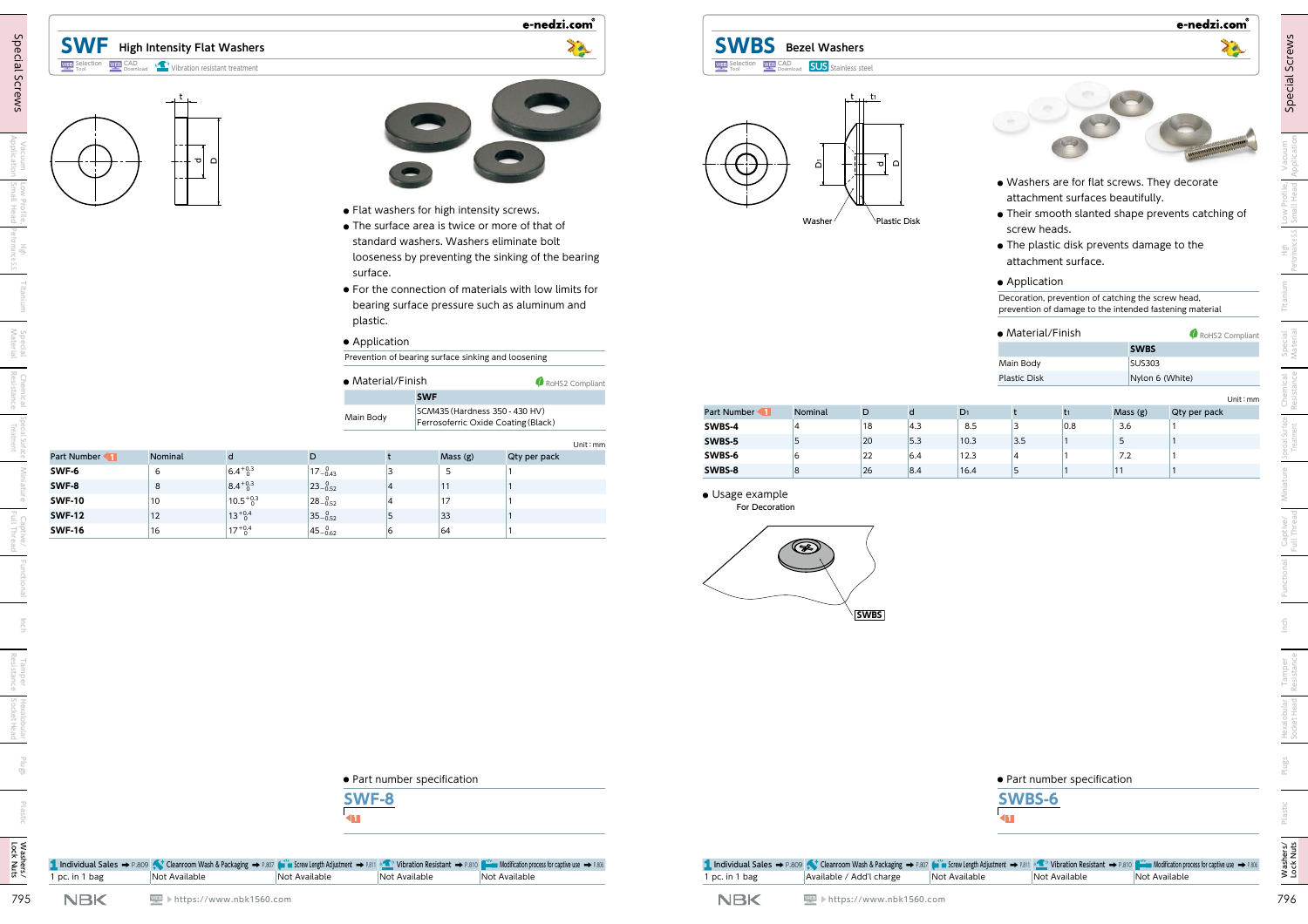# **SWF High Intensity Flat Washers**

#### Selection Tool **WEB** CAD (<sup>(2)</sup> Vibration resistant treatment





e-nedzi.com®

- **●** Flat washers for high intensity screws.
- **●** The surface area is twice or more of that of standard washers. Washers eliminate bolt looseness by preventing the sinking of the bearing surface.
- **●** For the connection of materials with low limits for bearing surface pressure such as aluminum and plastic.

#### **●** Application

| $\bullet$ Material/Finish |                                                                       | RoHS2 Compliant |
|---------------------------|-----------------------------------------------------------------------|-----------------|
|                           | <b>SWF</b>                                                            |                 |
| Main Body                 | SCM435 (Hardness 350 - 430 HV)<br>Ferrosoferric Oxide Coating (Black) |                 |

|                                | ത∣ ല      |                                      |                             | surface.                                       | • Flat washers for high intensity screws.           | • The surface area is twice or more of that of<br>standard washers. Washers eliminate bolt<br>looseness by preventing the sinking of the bearing<br>• For the connection of materials with low limits for<br>bearing surface pressure such as aluminum and | al B                  | اة<br>Washer  | ⊥t… ti<br>ᆔ | Plastic Disk         |                | screw heads.<br>• Application                         | attachment surface.         | attachment surfaces beautifully.<br>• The plastic disk prevents damage to the<br>Decoration, prevention of catching the screw head, | . Washers are for flat screws. They decorate<br>• Their smooth slanted shape prevents catching of<br>prevention of damage to the intended fastening material |
|--------------------------------|-----------|--------------------------------------|-----------------------------|------------------------------------------------|-----------------------------------------------------|------------------------------------------------------------------------------------------------------------------------------------------------------------------------------------------------------------------------------------------------------------|-----------------------|---------------|-------------|----------------------|----------------|-------------------------------------------------------|-----------------------------|-------------------------------------------------------------------------------------------------------------------------------------|--------------------------------------------------------------------------------------------------------------------------------------------------------------|
|                                |           |                                      |                             | plastic.<br>• Application<br>• Material/Finish | Prevention of bearing surface sinking and loosening | RoHS2 Compliant                                                                                                                                                                                                                                            |                       |               |             |                      |                | · Material/Finish<br>Main Body<br><b>Plastic Disk</b> |                             | <b>SWBS</b><br><b>SUS303</b>                                                                                                        | RoHS2 Compliant<br>Nylon 6 (White)                                                                                                                           |
|                                |           |                                      |                             | Main Body                                      | <b>SWF</b><br>SCM435 (Hardness 350 - 430 HV)        | Ferrosoferric Oxide Coating (Black)                                                                                                                                                                                                                        | Part Number<br>SWBS-4 | Nominal       | D<br>18     | $\mathsf{d}$<br> 4.3 | $D_1$<br>8.5   | t<br>$ 3\rangle$                                      | $t_1$<br>0.8                | Mass (g)<br>3.6                                                                                                                     | Unit: mm<br>Qty per pack                                                                                                                                     |
| Part Number                    | Nominal   | $\mathsf{d}$                         | D                           |                                                | Mass (g)                                            | Unit: mm<br>Qty per pack                                                                                                                                                                                                                                   | SWBS-5<br>SWBS-6      | 15<br>16      | 20<br>22    | 5.3<br>6.4           | 10.3<br>$12.3$ | $3.5$<br>$\overline{4}$                               |                             | 5<br>7.2                                                                                                                            |                                                                                                                                                              |
| SWF-6                          | 6         | $6.4^{+0.3}_{-0.3}$                  | $17 - \substack{0 \\ 0.43}$ | 3                                              | 5                                                   |                                                                                                                                                                                                                                                            | SWBS-8                | 8             | 26          | 8.4                  | 16.4           | 5                                                     |                             | $ 11\rangle$                                                                                                                        |                                                                                                                                                              |
| SWF-8                          | 8         | $8.4^{+0.3}_{-0.3}$                  | $23 - 0.52$                 |                                                | $ 11\rangle$                                        |                                                                                                                                                                                                                                                            | · Usage example       |               |             |                      |                |                                                       |                             |                                                                                                                                     |                                                                                                                                                              |
| <b>SWF-10</b>                  | 10        | $10.5^{+0.3}_{-0}$                   | $28 - 0.52$                 |                                                | 17                                                  |                                                                                                                                                                                                                                                            | For Decoration        |               |             |                      |                |                                                       |                             |                                                                                                                                     |                                                                                                                                                              |
| <b>SWF-12</b><br><b>SWF-16</b> | 12 <br>16 | $13^{+0.4}_{-0}$<br>$17^{+0.4}_{-0}$ | $35 - 0.52$<br>$45 - 0.62$  | 5<br>6                                         | 33 <br>64                                           |                                                                                                                                                                                                                                                            |                       |               |             |                      |                |                                                       |                             |                                                                                                                                     |                                                                                                                                                              |
|                                |           |                                      |                             |                                                |                                                     |                                                                                                                                                                                                                                                            |                       | $\circledast$ | <b>SWBS</b> |                      |                |                                                       |                             |                                                                                                                                     |                                                                                                                                                              |
|                                |           |                                      |                             | <b>SWF-8</b>                                   | · Part number specification                         |                                                                                                                                                                                                                                                            |                       |               |             |                      |                | SWBS-6                                                | • Part number specification |                                                                                                                                     |                                                                                                                                                              |
|                                |           |                                      |                             |                                                |                                                     |                                                                                                                                                                                                                                                            |                       |               |             |                      |                |                                                       |                             |                                                                                                                                     |                                                                                                                                                              |



**SWBS Bezel Washers**



- **●** Washers are for flat screws. They decorate attachment surfaces beautifully.
- **●** Their smooth slanted shape prevents catching of screw heads.
- **●** The plastic disk prevents damage to the attachment surface.

### **●** Application

| • Material/Finish | RoHS2 Compliant |
|-------------------|-----------------|
|                   | <b>SWBS</b>     |
| Main Body         | <b>SUS303</b>   |
| Plastic Disk      | Nylon 6 (White) |

|             |         |    |     |                |     |     |         | Unit: mm     |
|-------------|---------|----|-----|----------------|-----|-----|---------|--------------|
| Part Number | Nominal | D  | d   | D <sub>1</sub> |     | t1  | Mass(g) | Qty per pack |
| SWBS-4      | 4       | 18 | 4.3 | 8.5            | ۰   | 0.8 | 3.6     |              |
| SWBS-5      | پ       | 20 | 5.3 | 10.3           | 3.5 |     | ر       |              |
| SWBS-6      | O       | 22 | 6.4 | 12.3           | 4   |     | 7.2     |              |
| SWBS-8      | 8       | 26 | 8.4 | 16.4           | -   |     |         |              |



e-nedzi.com®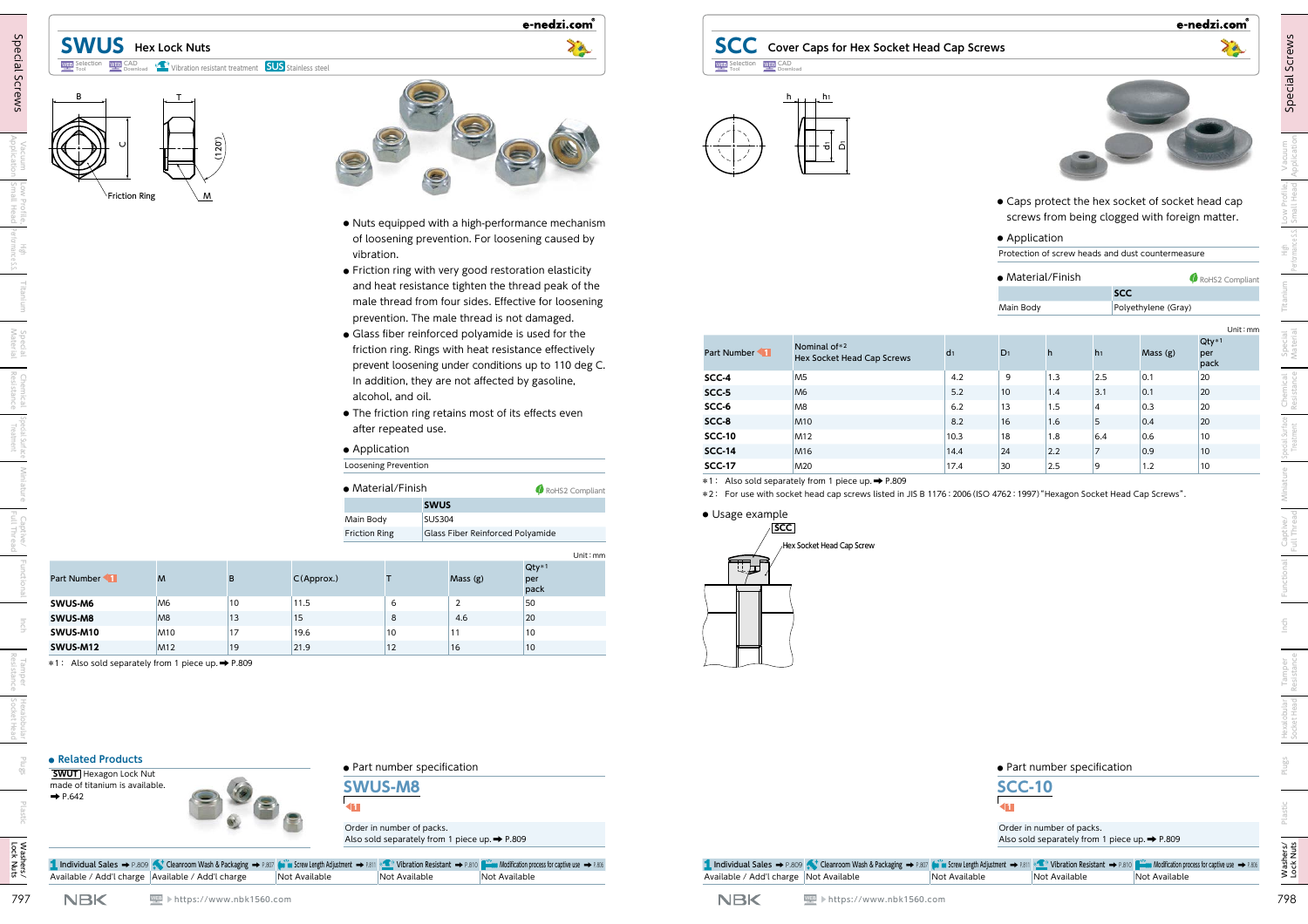# **SWUS Hex Lock Nuts** Download Vibration resistant treatment **SUS** Stainless steel





e-nedzi.com<sup>®</sup>

- **●** Nuts equipped with a high-performance mechanism of loosening prevention. For loosening caused by vibration.
- **●** Friction ring with very good restoration elasticity and heat resistance tighten the thread peak of the male thread from four sides. Effective for loosening prevention. The male thread is not damaged.
- **●** Glass fiber reinforced polyamide is used for the friction ring. Rings with heat resistance effectively prevent loosening under conditions up to 110 deg C. In addition, they are not affected by gasoline, alcohol, and oil.
- **●** The friction ring retains most of its effects even after repeated use.

#### **●** Application

| $\bullet$ Material/Finish | RoHS2 Compliant                  |
|---------------------------|----------------------------------|
|                           | <b>SWUS</b>                      |
| Main Body                 | <b>SUS304</b>                    |
| <b>Friction Ring</b>      | Glass Fiber Reinforced Polyamide |
|                           |                                  |

|                       |                 |    |               |    |         | Unit:mm                |
|-----------------------|-----------------|----|---------------|----|---------|------------------------|
| <b>Part Number 41</b> | M               | B  | $C$ (Approx.) |    | Mass(g) | $Qty*1$<br>per<br>pack |
| SWUS-M6               | M <sub>6</sub>  | 10 | 11.5          | ь  |         | 50                     |
| SWUS-M8               | M <sub>8</sub>  | 13 | 15            | 8  | 4.6     | 20                     |
| SWUS-M10              | M <sub>10</sub> | 17 | 19.6          | 10 | 11      | 10                     |
| SWUS-M12              | M <sub>12</sub> | 19 | 21.9          | 12 | 16      | 10                     |











#### **●** Application

|  |  |  | Protection of screw heads and dust countermeasure |
|--|--|--|---------------------------------------------------|
|--|--|--|---------------------------------------------------|

| • Material/Finish | RoHS2 Compliant     |
|-------------------|---------------------|
|                   | <b>SCC</b>          |
| Main Body         | Polyethylene (Gray) |

|                                                                                      |                                           |              | vibration.                        |                                                               | . Nuts equipped with a high-performance mechanism<br>of loosening prevention. For loosening caused by<br>• Friction ring with very good restoration elasticity<br>and heat resistance tighten the thread peak of the |                       |                                            |                  | • Application | Protection of screw heads and dust countermeasure |                             | screws from being clogged with foreign matter. |                        |
|--------------------------------------------------------------------------------------|-------------------------------------------|--------------|-----------------------------------|---------------------------------------------------------------|----------------------------------------------------------------------------------------------------------------------------------------------------------------------------------------------------------------------|-----------------------|--------------------------------------------|------------------|---------------|---------------------------------------------------|-----------------------------|------------------------------------------------|------------------------|
|                                                                                      |                                           |              |                                   |                                                               |                                                                                                                                                                                                                      |                       |                                            |                  |               |                                                   |                             |                                                |                        |
|                                                                                      |                                           |              |                                   |                                                               |                                                                                                                                                                                                                      |                       |                                            |                  |               |                                                   |                             |                                                |                        |
|                                                                                      |                                           |              |                                   |                                                               |                                                                                                                                                                                                                      |                       |                                            |                  |               | • Material/Finish                                 |                             |                                                |                        |
|                                                                                      |                                           |              |                                   |                                                               |                                                                                                                                                                                                                      |                       |                                            |                  |               |                                                   | <b>SCC</b>                  |                                                | RoHS2 Compliant        |
|                                                                                      |                                           |              |                                   |                                                               | male thread from four sides. Effective for loosening                                                                                                                                                                 |                       |                                            |                  | Main Body     |                                                   |                             | Polyethylene (Gray)                            |                        |
|                                                                                      |                                           |              |                                   | prevention. The male thread is not damaged.                   |                                                                                                                                                                                                                      |                       |                                            |                  |               |                                                   |                             |                                                | Unit: mn               |
|                                                                                      |                                           |              |                                   | • Glass fiber reinforced polyamide is used for the            | friction ring. Rings with heat resistance effectively<br>prevent loosening under conditions up to 110 deg C.                                                                                                         | Part Number           | Nominal of*2<br>Hex Socket Head Cap Screws | $d_1$            | $D_1$         | h                                                 | h <sub>1</sub>              | Mass (g)                                       | $Qty*1$<br>per<br>pack |
|                                                                                      |                                           |              |                                   | In addition, they are not affected by gasoline,               |                                                                                                                                                                                                                      | SCC-4                 | M <sub>5</sub>                             | 4.2              | 9             | 1.3                                               | $\vert$ 2.5                 | 0.1                                            | 20                     |
|                                                                                      |                                           |              | alcohol, and oil.                 |                                                               |                                                                                                                                                                                                                      | SCC-5                 | M <sub>6</sub>                             | 5.2              | $ 10\rangle$  | 1.4                                               | 3.1                         | 0.1                                            | $ 20\rangle$           |
|                                                                                      |                                           |              |                                   | • The friction ring retains most of its effects even          |                                                                                                                                                                                                                      | SCC-6<br>SCC-8        | M <sub>8</sub><br><b>M10</b>               | $6.2$<br>$8.2\,$ | $ 13\rangle$  | 1.5                                               | $\overline{4}$<br>$\vert$ 5 | 0.3<br> 0.4                                    | 20<br>$ 20\rangle$     |
|                                                                                      |                                           |              | after repeated use.               |                                                               |                                                                                                                                                                                                                      | <b>SCC-10</b>         | M <sub>12</sub>                            | 10.3             | 16 <br>18     | 1.6<br>1.8                                        | 6.4                         | 0.6                                            | 10                     |
|                                                                                      |                                           |              | • Application                     |                                                               |                                                                                                                                                                                                                      | <b>SCC-14</b>         | M <sub>16</sub>                            | 14.4             | 24            | 2.2                                               | 7                           | 0.9                                            | $ 10\rangle$           |
|                                                                                      |                                           |              | Loosening Prevention              |                                                               |                                                                                                                                                                                                                      | <b>SCC-17</b>         | M20                                        | 17.4             | 30            | 2.5                                               | $\vert$ 9                   | 1.2                                            | 10                     |
| Part Number<br>M                                                                     | B                                         | C(Approx.)   | Main Body<br><b>Friction Ring</b> | <b>SUS304</b><br>Glass Fiber Reinforced Polyamide<br>Mass (g) | Unit: mm<br>$Qty*1$<br>per<br>pack                                                                                                                                                                                   | · Usage example<br>は上 | SCC∣<br>Hex Socket Head Cap Screw          |                  |               |                                                   |                             |                                                |                        |
| SWUS-M6<br>M <sub>6</sub>                                                            | 10 <sup>°</sup>                           | 11.5         | 6                                 | $\overline{2}$                                                | 50                                                                                                                                                                                                                   |                       |                                            |                  |               |                                                   |                             |                                                |                        |
| SWUS-M8<br>M <sub>8</sub>                                                            | $ 13\rangle$                              | 15           | 8                                 | 4.6                                                           | 20                                                                                                                                                                                                                   |                       |                                            |                  |               |                                                   |                             |                                                |                        |
| SWUS-M10<br>SWUS-M12                                                                 | <b>M10</b><br>17<br>M <sub>12</sub><br>19 | 19.6<br>21.9 | 10<br>12                          | 11<br>16                                                      | 10<br>10                                                                                                                                                                                                             |                       |                                            |                  |               |                                                   |                             |                                                |                        |
| *1: Also sold separately from 1 piece up. → P.809                                    |                                           |              |                                   |                                                               |                                                                                                                                                                                                                      |                       |                                            |                  |               |                                                   |                             |                                                |                        |
| • Related Products<br><b>SWUT</b> Hexagon Lock Nut<br>made of titanium is available. |                                           |              | <b>SWUS-M8</b>                    | · Part number specification                                   |                                                                                                                                                                                                                      |                       |                                            |                  | <b>SCC-10</b> |                                                   | • Part number specification |                                                |                        |
| $\rightarrow$ P.642                                                                  |                                           |              | Order in number of packs.         | Also sold separately from 1 piece up. > P.809                 |                                                                                                                                                                                                                      |                       |                                            |                  |               | Order in number of packs.                         |                             | Also sold separately from 1 piece up. → P.809  |                        |